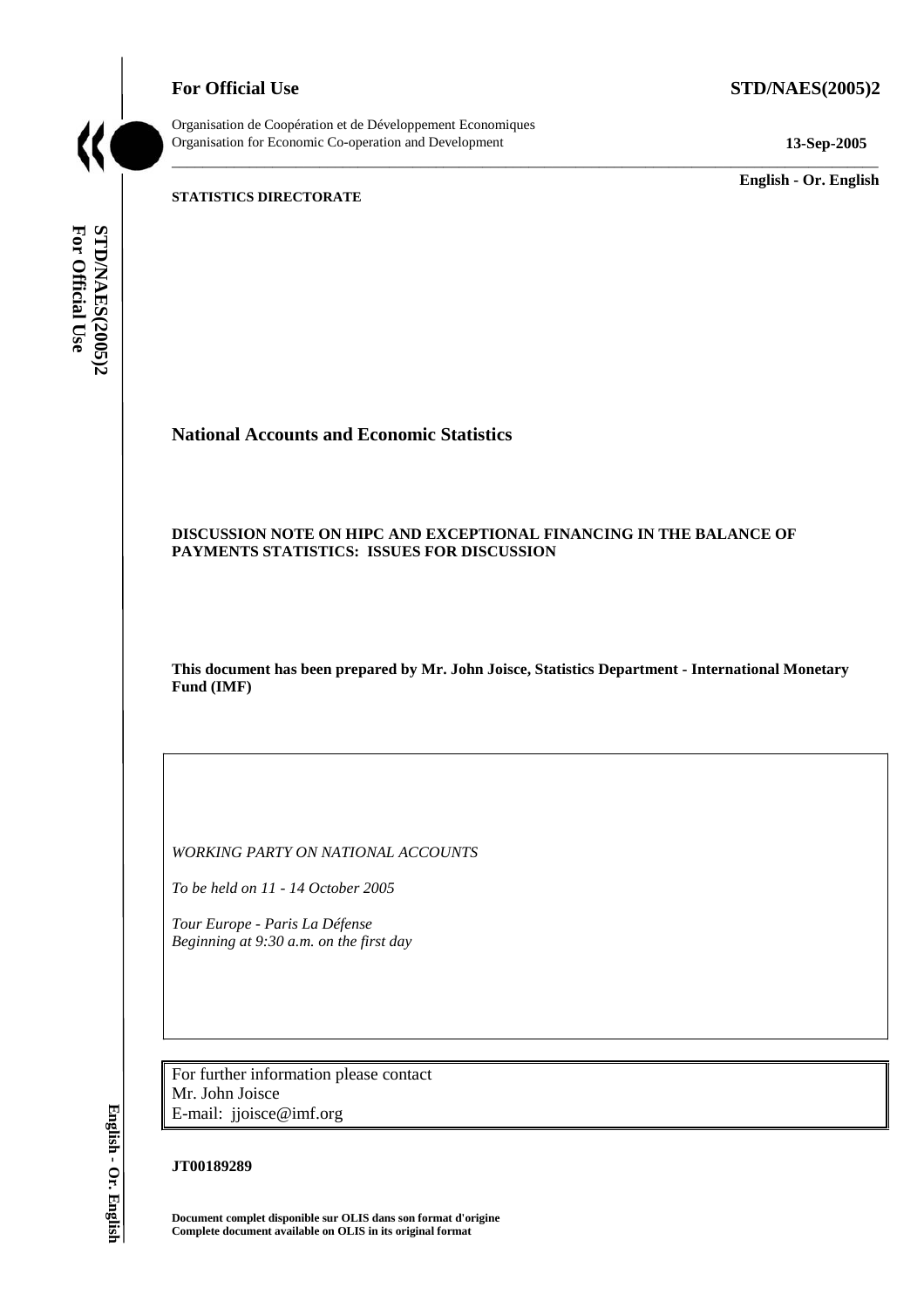**For Official Use STD/NAES(2005)2** 

Organisation de Coopération et de Développement Economiques Organisation for Economic Co-operation and Development **13-Sep-2005** 

\_\_\_\_\_\_\_\_\_\_\_\_\_ **English - Or. English** 

**STATISTICS DIRECTORATE** 

For Official Use STD/NAES(2005)2 **For Official Use STD/NAES(2005)2 English - Or. English**

# **National Accounts and Economic Statistics**

## **DISCUSSION NOTE ON HIPC AND EXCEPTIONAL FINANCING IN THE BALANCE OF PAYMENTS STATISTICS: ISSUES FOR DISCUSSION**

**This document has been prepared by Mr. John Joisce, Statistics Department - International Monetary Fund (IMF)** 

\_\_\_\_\_\_\_\_\_\_\_\_\_\_\_\_\_\_\_\_\_\_\_\_\_\_\_\_\_\_\_\_\_\_\_\_\_\_\_\_\_\_\_\_\_\_\_\_\_\_\_\_\_\_\_\_\_\_\_\_\_\_\_\_\_\_\_\_\_\_\_\_\_\_\_\_\_\_\_\_\_\_\_\_\_\_\_\_\_\_\_

*WORKING PARTY ON NATIONAL ACCOUNTS* 

*To be held on 11 - 14 October 2005* 

*Tour Europe - Paris La Défense Beginning at 9:30 a.m. on the first day* 

For further information please contact Mr. John Joisce E-mail: jjoisce@imf.org

## **JT00189289**

**Document complet disponible sur OLIS dans son format d'origine Complete document available on OLIS in its original format** 

English - Or. English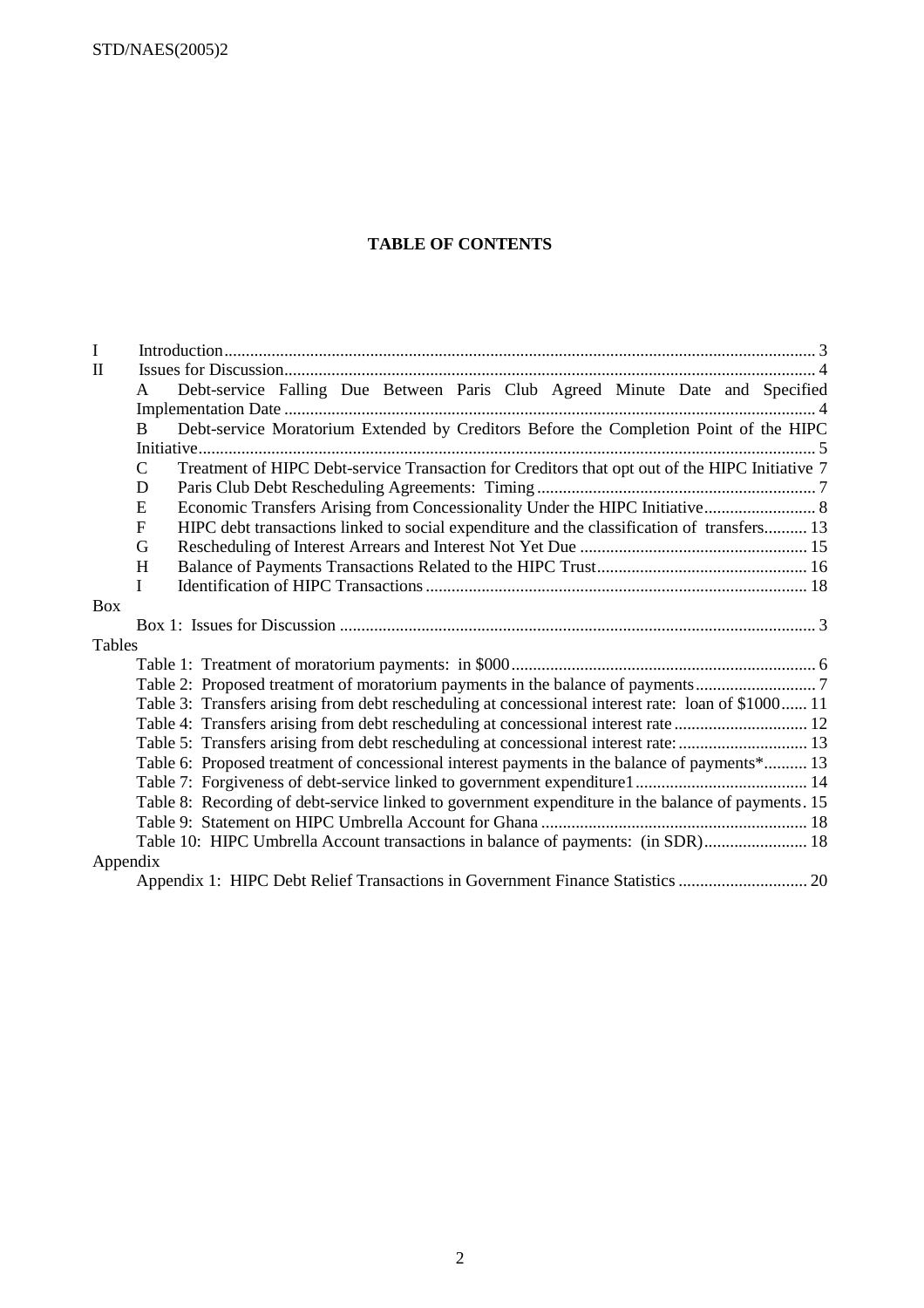STD/NAES(2005)2

# **TABLE OF CONTENTS**

| $\mathbf I$  |                                                                                                            |  |  |  |  |  |  |  |  |  |
|--------------|------------------------------------------------------------------------------------------------------------|--|--|--|--|--|--|--|--|--|
| $\mathbf{I}$ |                                                                                                            |  |  |  |  |  |  |  |  |  |
|              | Debt-service Falling Due Between Paris Club Agreed Minute Date and Specified<br>A                          |  |  |  |  |  |  |  |  |  |
|              |                                                                                                            |  |  |  |  |  |  |  |  |  |
|              | Debt-service Moratorium Extended by Creditors Before the Completion Point of the HIPC<br><sub>B</sub>      |  |  |  |  |  |  |  |  |  |
|              |                                                                                                            |  |  |  |  |  |  |  |  |  |
|              | Treatment of HIPC Debt-service Transaction for Creditors that opt out of the HIPC Initiative 7<br>C        |  |  |  |  |  |  |  |  |  |
|              | D                                                                                                          |  |  |  |  |  |  |  |  |  |
|              | Economic Transfers Arising from Concessionality Under the HIPC Initiative 8<br>E                           |  |  |  |  |  |  |  |  |  |
|              | HIPC debt transactions linked to social expenditure and the classification of transfers 13<br>$\mathbf{F}$ |  |  |  |  |  |  |  |  |  |
|              | G                                                                                                          |  |  |  |  |  |  |  |  |  |
|              | H                                                                                                          |  |  |  |  |  |  |  |  |  |
|              | L                                                                                                          |  |  |  |  |  |  |  |  |  |
| <b>Box</b>   |                                                                                                            |  |  |  |  |  |  |  |  |  |
|              |                                                                                                            |  |  |  |  |  |  |  |  |  |
| Tables       |                                                                                                            |  |  |  |  |  |  |  |  |  |
|              |                                                                                                            |  |  |  |  |  |  |  |  |  |
|              |                                                                                                            |  |  |  |  |  |  |  |  |  |
|              | Table 3: Transfers arising from debt rescheduling at concessional interest rate: loan of \$1000 11         |  |  |  |  |  |  |  |  |  |
|              | Table 4: Transfers arising from debt rescheduling at concessional interest rate  12                        |  |  |  |  |  |  |  |  |  |
|              | Table 5: Transfers arising from debt rescheduling at concessional interest rate:  13                       |  |  |  |  |  |  |  |  |  |
|              | Table 6: Proposed treatment of concessional interest payments in the balance of payments* 13               |  |  |  |  |  |  |  |  |  |
|              |                                                                                                            |  |  |  |  |  |  |  |  |  |
|              | Table 8: Recording of debt-service linked to government expenditure in the balance of payments. 15         |  |  |  |  |  |  |  |  |  |
|              |                                                                                                            |  |  |  |  |  |  |  |  |  |
|              | Table 10: HIPC Umbrella Account transactions in balance of payments: (in SDR) 18                           |  |  |  |  |  |  |  |  |  |
| Appendix     |                                                                                                            |  |  |  |  |  |  |  |  |  |
|              |                                                                                                            |  |  |  |  |  |  |  |  |  |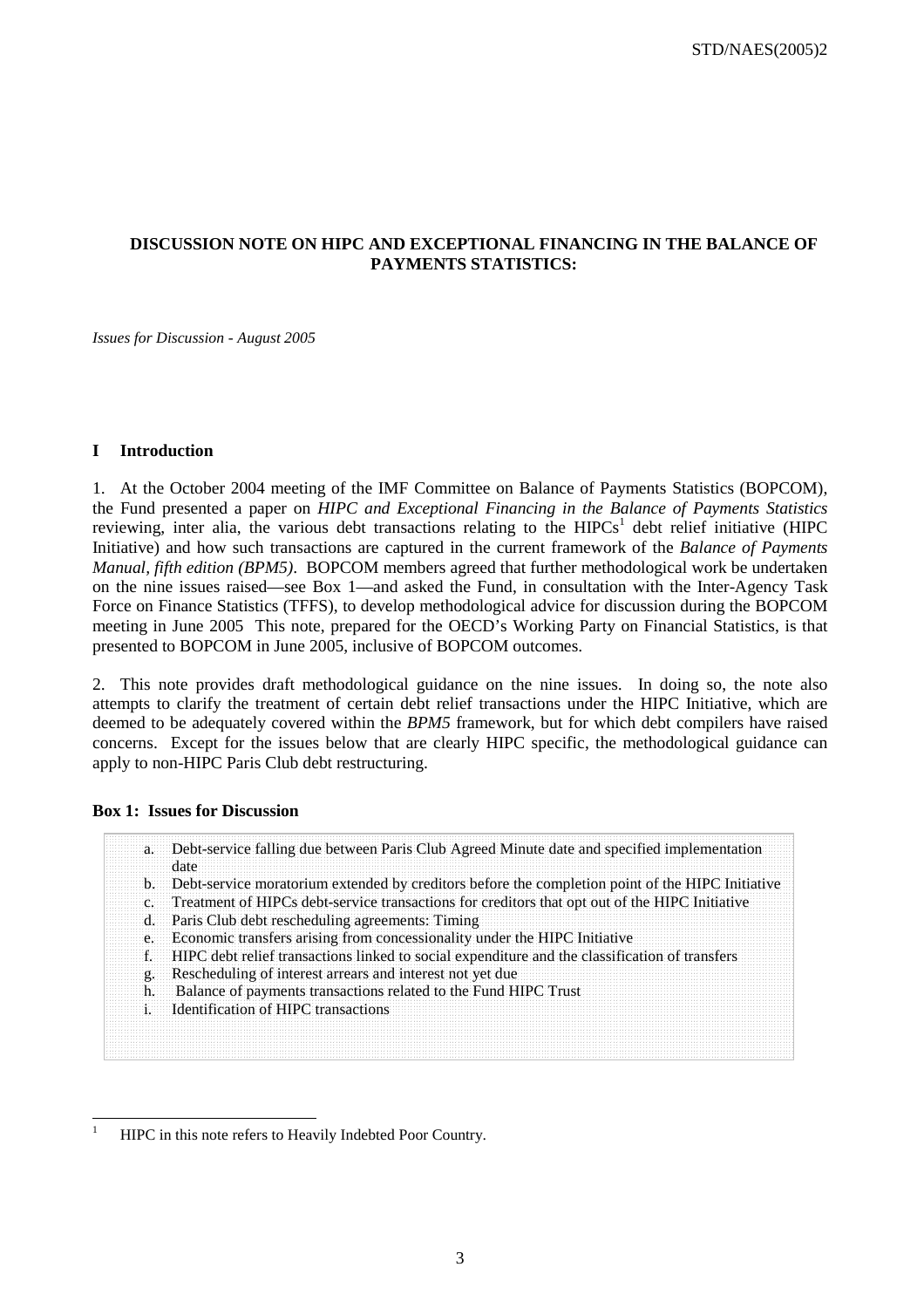# **DISCUSSION NOTE ON HIPC AND EXCEPTIONAL FINANCING IN THE BALANCE OF PAYMENTS STATISTICS:**

*Issues for Discussion - August 2005* 

#### **I Introduction**

1. At the October 2004 meeting of the IMF Committee on Balance of Payments Statistics (BOPCOM), the Fund presented a paper on *HIPC and Exceptional Financing in the Balance of Payments Statistics* reviewing, inter alia, the various debt transactions relating to the  $HIPCs<sup>1</sup>$  debt relief initiative (HIPC Initiative) and how such transactions are captured in the current framework of the *Balance of Payments Manual, fifth edition (BPM5)*. BOPCOM members agreed that further methodological work be undertaken on the nine issues raised—see Box 1—and asked the Fund, in consultation with the Inter-Agency Task Force on Finance Statistics (TFFS), to develop methodological advice for discussion during the BOPCOM meeting in June 2005 This note, prepared for the OECD's Working Party on Financial Statistics, is that presented to BOPCOM in June 2005, inclusive of BOPCOM outcomes.

2. This note provides draft methodological guidance on the nine issues. In doing so, the note also attempts to clarify the treatment of certain debt relief transactions under the HIPC Initiative, which are deemed to be adequately covered within the *BPM5* framework, but for which debt compilers have raised concerns. Except for the issues below that are clearly HIPC specific, the methodological guidance can apply to non-HIPC Paris Club debt restructuring.

#### **Box 1: Issues for Discussion**

|  | a. Debt-service falling due between Paris Club Agreed Minute date and specified implementation<br>date |
|--|--------------------------------------------------------------------------------------------------------|
|  | b. Debt-service moratorium extended by creditors before the completion point of the HIPC Initiative    |
|  | c. Treatment of HIPCs debt-service transactions for creditors that opt out of the HIPC Initiative      |
|  | d. Paris Club debt rescheduling agreements: Timing                                                     |
|  | e. Economic transfers arising from concessionality under the HIPC Initiative                           |
|  | f. HIPC debt relief transactions linked to social expenditure and the classification of transfers      |
|  | g. Rescheduling of interest arrears and interest not yet due                                           |
|  | h. Balance of payments transactions related to the Fund HIPC Trust                                     |
|  | i. Identification of HIPC transactions                                                                 |
|  |                                                                                                        |
|  |                                                                                                        |

<sup>|&</sup>lt;br>|<br>| HIPC in this note refers to Heavily Indebted Poor Country.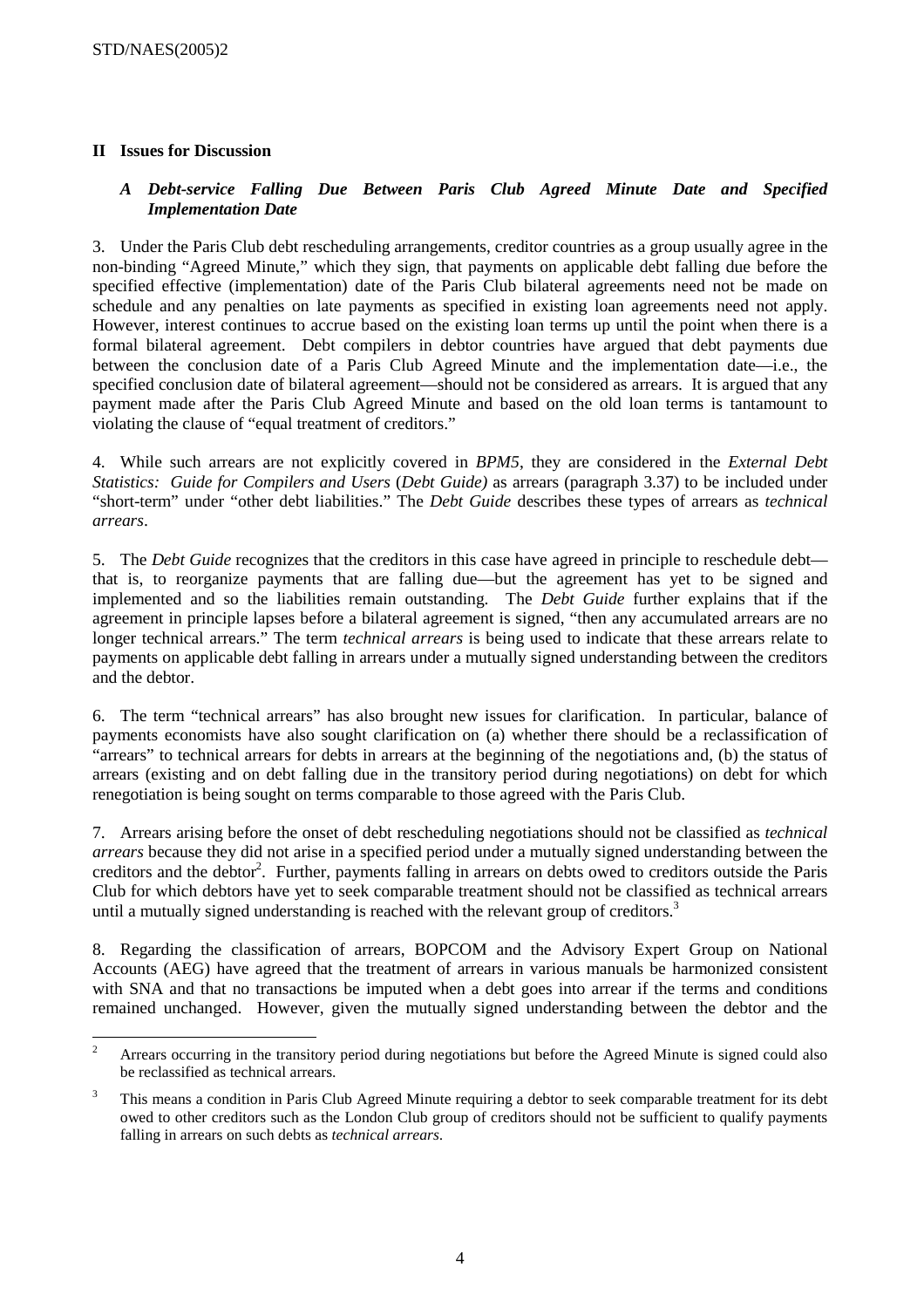# **II Issues for Discussion**

# *A Debt-service Falling Due Between Paris Club Agreed Minute Date and Specified Implementation Date*

3. Under the Paris Club debt rescheduling arrangements, creditor countries as a group usually agree in the non-binding "Agreed Minute," which they sign, that payments on applicable debt falling due before the specified effective (implementation) date of the Paris Club bilateral agreements need not be made on schedule and any penalties on late payments as specified in existing loan agreements need not apply. However, interest continues to accrue based on the existing loan terms up until the point when there is a formal bilateral agreement. Debt compilers in debtor countries have argued that debt payments due between the conclusion date of a Paris Club Agreed Minute and the implementation date—i.e., the specified conclusion date of bilateral agreement—should not be considered as arrears. It is argued that any payment made after the Paris Club Agreed Minute and based on the old loan terms is tantamount to violating the clause of "equal treatment of creditors."

4. While such arrears are not explicitly covered in *BPM5*, they are considered in the *External Debt Statistics: Guide for Compilers and Users* (*Debt Guide)* as arrears (paragraph 3.37) to be included under "short-term" under "other debt liabilities." The *Debt Guide* describes these types of arrears as *technical arrears*.

5. The *Debt Guide* recognizes that the creditors in this case have agreed in principle to reschedule debt that is, to reorganize payments that are falling due—but the agreement has yet to be signed and implemented and so the liabilities remain outstanding. The *Debt Guide* further explains that if the agreement in principle lapses before a bilateral agreement is signed, "then any accumulated arrears are no longer technical arrears." The term *technical arrears* is being used to indicate that these arrears relate to payments on applicable debt falling in arrears under a mutually signed understanding between the creditors and the debtor.

6. The term "technical arrears" has also brought new issues for clarification. In particular, balance of payments economists have also sought clarification on (a) whether there should be a reclassification of "arrears" to technical arrears for debts in arrears at the beginning of the negotiations and, (b) the status of arrears (existing and on debt falling due in the transitory period during negotiations) on debt for which renegotiation is being sought on terms comparable to those agreed with the Paris Club.

7. Arrears arising before the onset of debt rescheduling negotiations should not be classified as *technical arrears* because they did not arise in a specified period under a mutually signed understanding between the creditors and the debtor<sup>2</sup>. Further, payments falling in arrears on debts owed to creditors outside the Paris Club for which debtors have yet to seek comparable treatment should not be classified as technical arrears until a mutually signed understanding is reached with the relevant group of creditors. $3$ 

8. Regarding the classification of arrears, BOPCOM and the Advisory Expert Group on National Accounts (AEG) have agreed that the treatment of arrears in various manuals be harmonized consistent with SNA and that no transactions be imputed when a debt goes into arrear if the terms and conditions remained unchanged. However, given the mutually signed understanding between the debtor and the

 $\frac{1}{2}$  Arrears occurring in the transitory period during negotiations but before the Agreed Minute is signed could also be reclassified as technical arrears.

<sup>3</sup> This means a condition in Paris Club Agreed Minute requiring a debtor to seek comparable treatment for its debt owed to other creditors such as the London Club group of creditors should not be sufficient to qualify payments falling in arrears on such debts as *technical arrears*.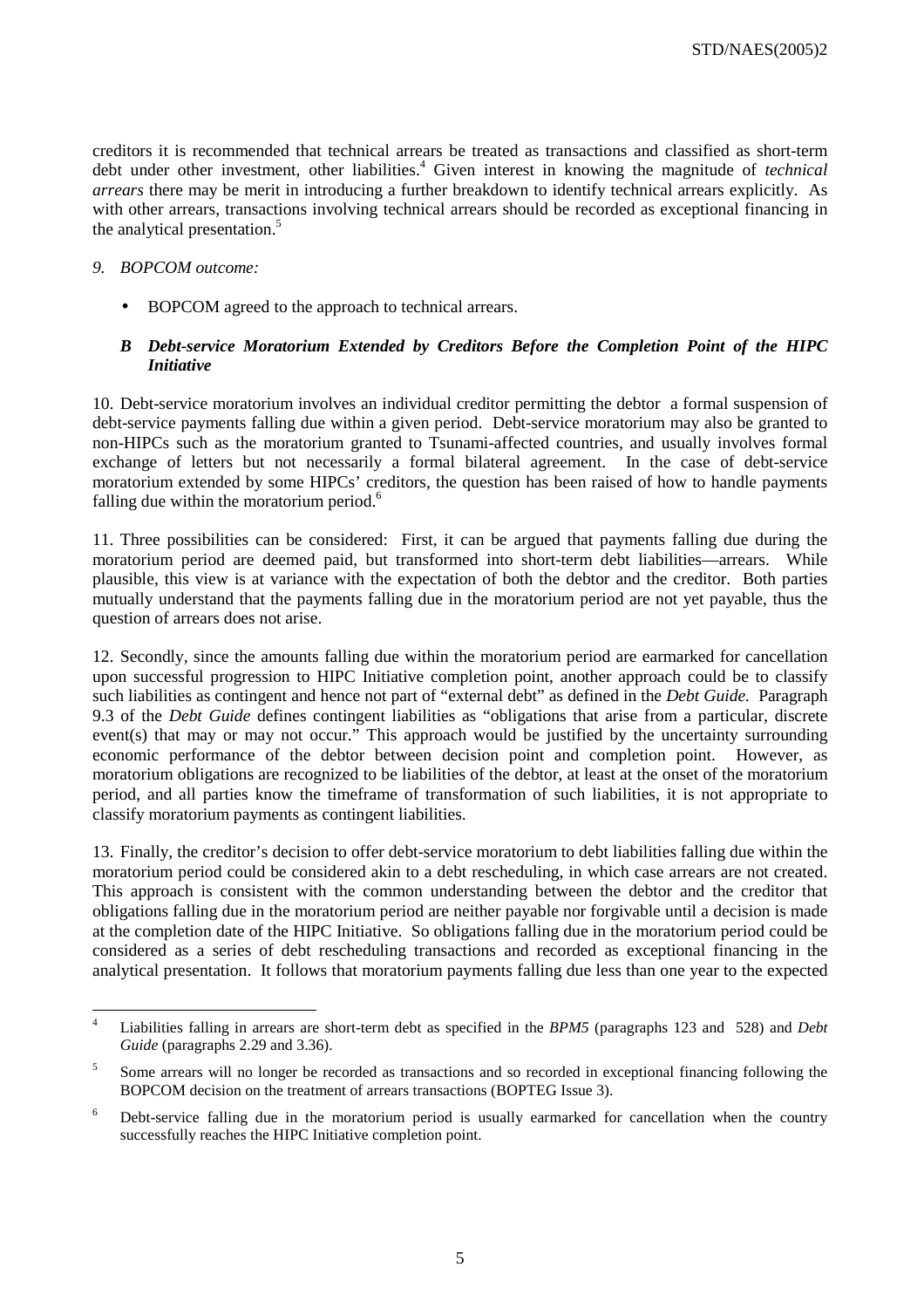creditors it is recommended that technical arrears be treated as transactions and classified as short-term debt under other investment, other liabilities.<sup>4</sup> Given interest in knowing the magnitude of *technical arrears* there may be merit in introducing a further breakdown to identify technical arrears explicitly. As with other arrears, transactions involving technical arrears should be recorded as exceptional financing in the analytical presentation.<sup>5</sup>

## *9. BOPCOM outcome:*

• BOPCOM agreed to the approach to technical arrears.

# *B Debt-service Moratorium Extended by Creditors Before the Completion Point of the HIPC Initiative*

10. Debt-service moratorium involves an individual creditor permitting the debtor a formal suspension of debt-service payments falling due within a given period. Debt-service moratorium may also be granted to non-HIPCs such as the moratorium granted to Tsunami-affected countries, and usually involves formal exchange of letters but not necessarily a formal bilateral agreement. In the case of debt-service moratorium extended by some HIPCs' creditors, the question has been raised of how to handle payments falling due within the moratorium period.<sup>6</sup>

11. Three possibilities can be considered: First, it can be argued that payments falling due during the moratorium period are deemed paid, but transformed into short-term debt liabilities—arrears. While plausible, this view is at variance with the expectation of both the debtor and the creditor. Both parties mutually understand that the payments falling due in the moratorium period are not yet payable, thus the question of arrears does not arise.

12. Secondly, since the amounts falling due within the moratorium period are earmarked for cancellation upon successful progression to HIPC Initiative completion point, another approach could be to classify such liabilities as contingent and hence not part of "external debt" as defined in the *Debt Guide.* Paragraph 9.3 of the *Debt Guide* defines contingent liabilities as "obligations that arise from a particular, discrete event(s) that may or may not occur." This approach would be justified by the uncertainty surrounding economic performance of the debtor between decision point and completion point. However, as moratorium obligations are recognized to be liabilities of the debtor, at least at the onset of the moratorium period, and all parties know the timeframe of transformation of such liabilities, it is not appropriate to classify moratorium payments as contingent liabilities.

13. Finally, the creditor's decision to offer debt-service moratorium to debt liabilities falling due within the moratorium period could be considered akin to a debt rescheduling, in which case arrears are not created. This approach is consistent with the common understanding between the debtor and the creditor that obligations falling due in the moratorium period are neither payable nor forgivable until a decision is made at the completion date of the HIPC Initiative. So obligations falling due in the moratorium period could be considered as a series of debt rescheduling transactions and recorded as exceptional financing in the analytical presentation. It follows that moratorium payments falling due less than one year to the expected

 $\frac{1}{4}$  Liabilities falling in arrears are short-term debt as specified in the *BPM5* (paragraphs 123 and 528) and *Debt Guide* (paragraphs 2.29 and 3.36).

<sup>5</sup> Some arrears will no longer be recorded as transactions and so recorded in exceptional financing following the BOPCOM decision on the treatment of arrears transactions (BOPTEG Issue 3).

<sup>6</sup> Debt-service falling due in the moratorium period is usually earmarked for cancellation when the country successfully reaches the HIPC Initiative completion point.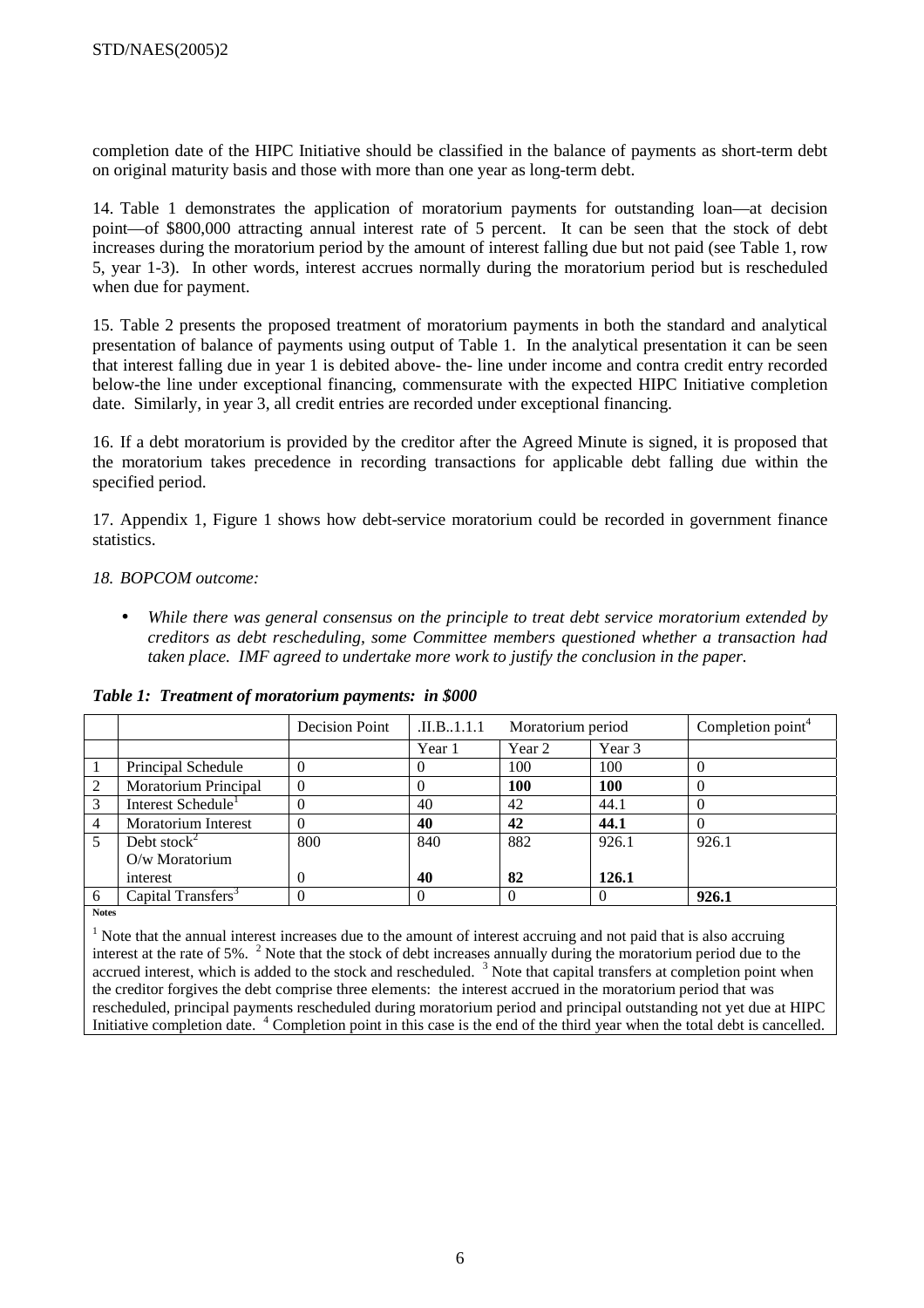completion date of the HIPC Initiative should be classified in the balance of payments as short-term debt on original maturity basis and those with more than one year as long-term debt.

14. Table 1 demonstrates the application of moratorium payments for outstanding loan—at decision point—of \$800,000 attracting annual interest rate of 5 percent. It can be seen that the stock of debt increases during the moratorium period by the amount of interest falling due but not paid (see Table 1, row 5, year 1-3). In other words, interest accrues normally during the moratorium period but is rescheduled when due for payment.

15. Table 2 presents the proposed treatment of moratorium payments in both the standard and analytical presentation of balance of payments using output of Table 1. In the analytical presentation it can be seen that interest falling due in year 1 is debited above- the- line under income and contra credit entry recorded below-the line under exceptional financing, commensurate with the expected HIPC Initiative completion date. Similarly, in year 3, all credit entries are recorded under exceptional financing.

16. If a debt moratorium is provided by the creditor after the Agreed Minute is signed, it is proposed that the moratorium takes precedence in recording transactions for applicable debt falling due within the specified period.

17. Appendix 1, Figure 1 shows how debt-service moratorium could be recorded in government finance statistics.

## *18. BOPCOM outcome:*

• *While there was general consensus on the principle to treat debt service moratorium extended by creditors as debt rescheduling, some Committee members questioned whether a transaction had taken place. IMF agreed to undertake more work to justify the conclusion in the paper.* 

|                |                                | Decision Point | $\Pi.B.1.1.1$ | Moratorium period |        | Completion point <sup>4</sup> |
|----------------|--------------------------------|----------------|---------------|-------------------|--------|-------------------------------|
|                |                                |                | Year 1        | Year 2            | Year 3 |                               |
|                | Principal Schedule             |                |               | 100               | 100    |                               |
| 2              | Moratorium Principal           |                |               | <b>100</b>        | 100    |                               |
| 3              | Interest Schedule <sup>1</sup> |                | 40            | 42                | 44.1   |                               |
| $\overline{4}$ | <b>Moratorium Interest</b>     |                | 40            | 42                | 44.1   |                               |
| 5              | Debt stock $^{2}$              | 800            | 840           | 882               | 926.1  | 926.1                         |
|                | $O/w$ Moratorium               |                |               |                   |        |                               |
|                | interest                       |                | 40            | 82                | 126.1  |                               |
| 6              | Capital Transfers <sup>3</sup> |                |               |                   |        | 926.1                         |

*Table 1: Treatment of moratorium payments: in \$000* 

**Notes** 

<sup>1</sup> Note that the annual interest increases due to the amount of interest accruing and not paid that is also accruing interest at the rate of 5%.  $2$  Note that the stock of debt increases annually during the moratorium period due to the accrued interest, which is added to the stock and rescheduled.  $3$  Note that capital transfers at completion point when the creditor forgives the debt comprise three elements: the interest accrued in the moratorium period that was rescheduled, principal payments rescheduled during moratorium period and principal outstanding not yet due at HIPC Initiative completion date. <sup>4</sup> Completion point in this case is the end of the third year when the total debt is cancelled.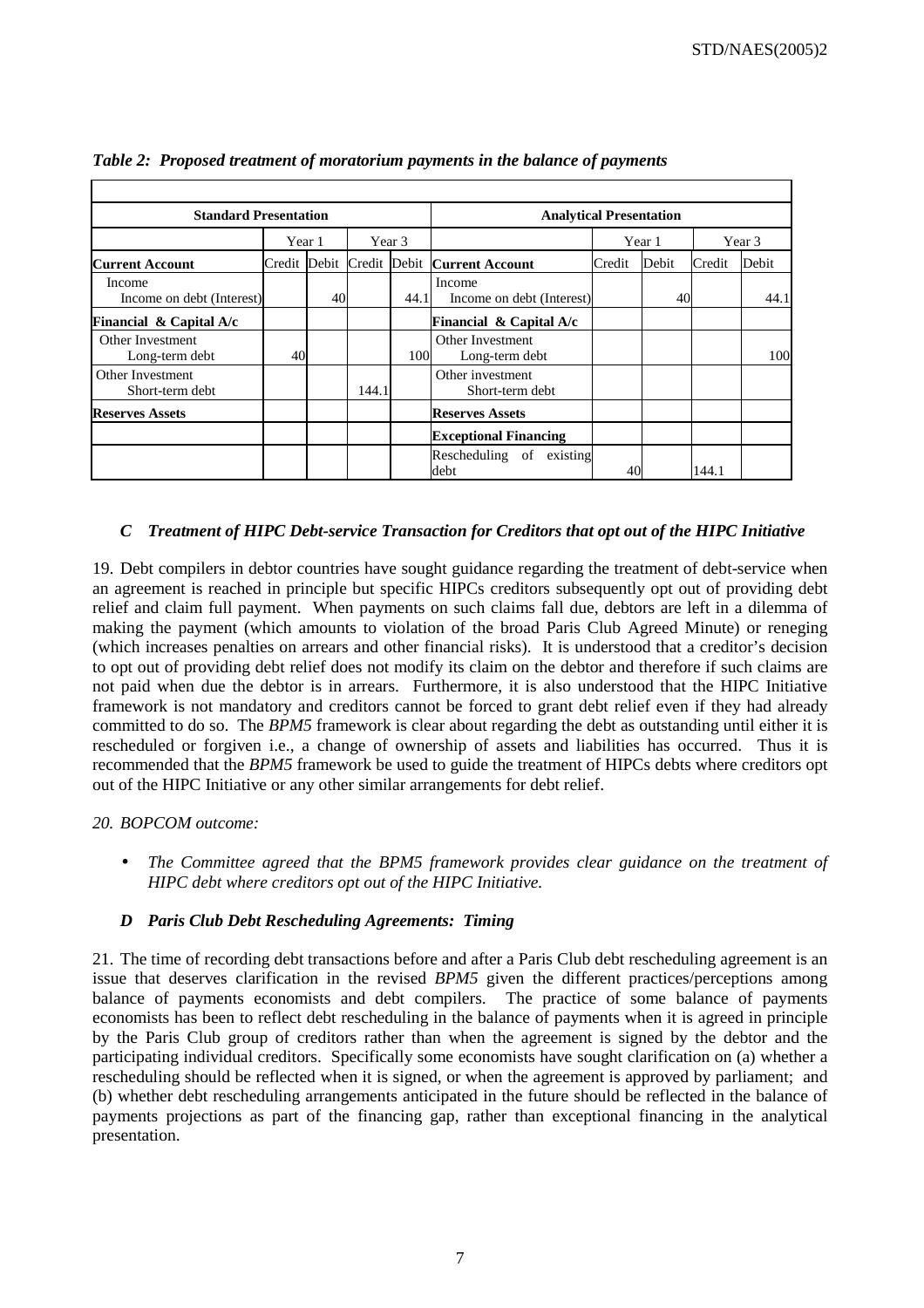| <b>Standard Presentation</b>        |        |    |        |      | <b>Analytical Presentation</b>            |        |        |        |       |  |  |  |
|-------------------------------------|--------|----|--------|------|-------------------------------------------|--------|--------|--------|-------|--|--|--|
|                                     | Year 1 |    | Year 3 |      |                                           |        | Year 1 | Year 3 |       |  |  |  |
| <b>Current Account</b>              |        |    |        |      | Credit Debit Credit Debit Current Account | Credit | Debit  | Credit | Debit |  |  |  |
| Income<br>Income on debt (Interest) |        | 40 |        | 44.1 | Income<br>Income on debt (Interest)       |        | 40     |        | 44.1  |  |  |  |
| Financial & Capital $A/c$           |        |    |        |      | Financial $\&$ Capital A/c                |        |        |        |       |  |  |  |
| Other Investment<br>Long-term debt  | 40     |    |        | 100  | Other Investment<br>Long-term debt        |        |        |        | 100   |  |  |  |
| Other Investment<br>Short-term debt |        |    | 144.1  |      | Other investment<br>Short-term debt       |        |        |        |       |  |  |  |
| <b>Reserves Assets</b>              |        |    |        |      | <b>Reserves Assets</b>                    |        |        |        |       |  |  |  |
|                                     |        |    |        |      | <b>Exceptional Financing</b>              |        |        |        |       |  |  |  |
|                                     |        |    |        |      | Rescheduling of existing<br>debt          | 40     |        | 144.1  |       |  |  |  |

*Table 2: Proposed treatment of moratorium payments in the balance of payments* 

# *C Treatment of HIPC Debt-service Transaction for Creditors that opt out of the HIPC Initiative*

19. Debt compilers in debtor countries have sought guidance regarding the treatment of debt-service when an agreement is reached in principle but specific HIPCs creditors subsequently opt out of providing debt relief and claim full payment. When payments on such claims fall due, debtors are left in a dilemma of making the payment (which amounts to violation of the broad Paris Club Agreed Minute) or reneging (which increases penalties on arrears and other financial risks). It is understood that a creditor's decision to opt out of providing debt relief does not modify its claim on the debtor and therefore if such claims are not paid when due the debtor is in arrears. Furthermore, it is also understood that the HIPC Initiative framework is not mandatory and creditors cannot be forced to grant debt relief even if they had already committed to do so. The *BPM5* framework is clear about regarding the debt as outstanding until either it is rescheduled or forgiven i.e., a change of ownership of assets and liabilities has occurred. Thus it is recommended that the *BPM5* framework be used to guide the treatment of HIPCs debts where creditors opt out of the HIPC Initiative or any other similar arrangements for debt relief.

## *20. BOPCOM outcome:*

• *The Committee agreed that the BPM5 framework provides clear guidance on the treatment of HIPC debt where creditors opt out of the HIPC Initiative.* 

# *D Paris Club Debt Rescheduling Agreements: Timing*

21. The time of recording debt transactions before and after a Paris Club debt rescheduling agreement is an issue that deserves clarification in the revised *BPM5* given the different practices/perceptions among balance of payments economists and debt compilers. The practice of some balance of payments economists has been to reflect debt rescheduling in the balance of payments when it is agreed in principle by the Paris Club group of creditors rather than when the agreement is signed by the debtor and the participating individual creditors. Specifically some economists have sought clarification on (a) whether a rescheduling should be reflected when it is signed, or when the agreement is approved by parliament; and (b) whether debt rescheduling arrangements anticipated in the future should be reflected in the balance of payments projections as part of the financing gap, rather than exceptional financing in the analytical presentation.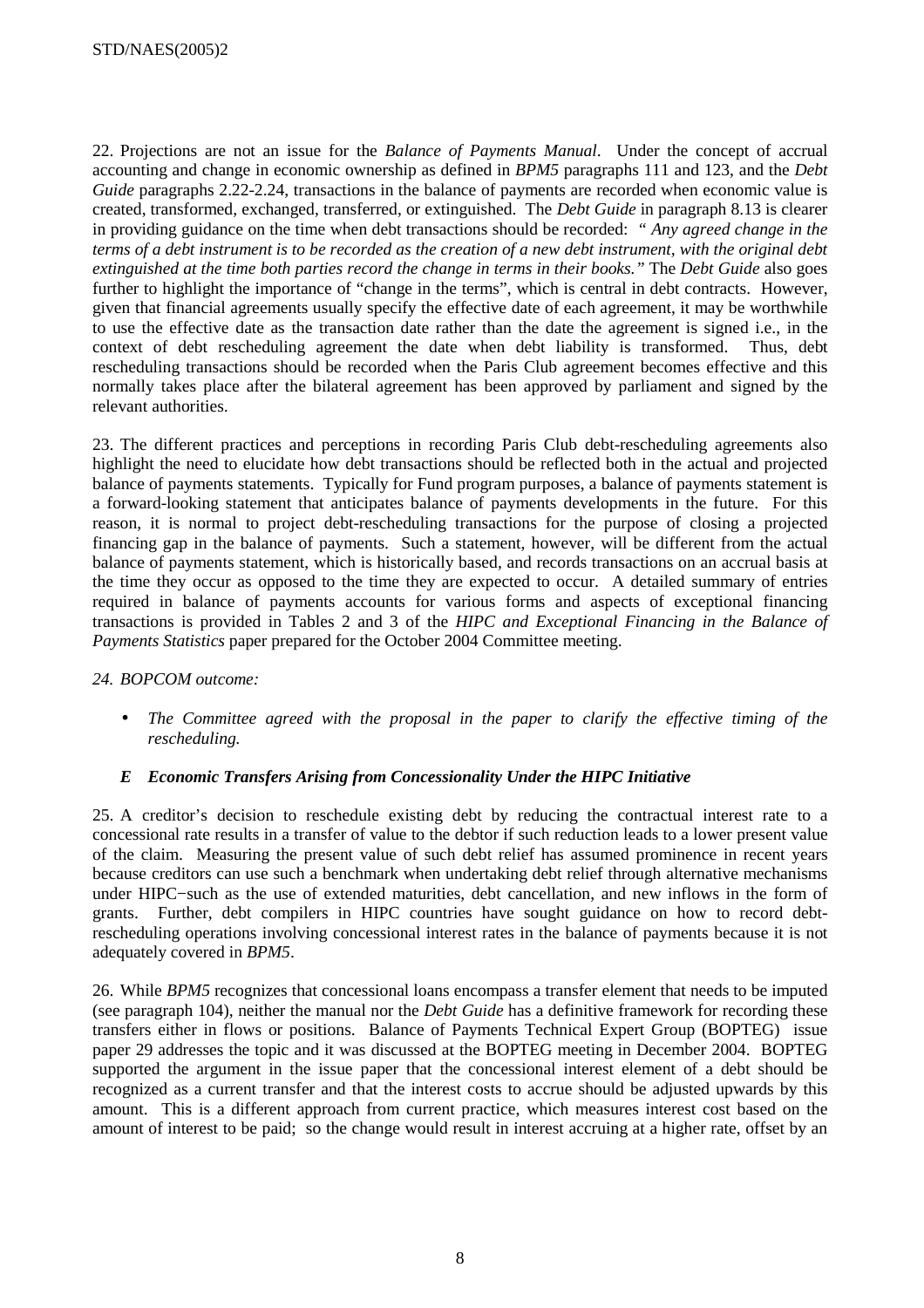22. Projections are not an issue for the *Balance of Payments Manual*. Under the concept of accrual accounting and change in economic ownership as defined in *BPM5* paragraphs 111 and 123, and the *Debt Guide* paragraphs 2.22-2.24, transactions in the balance of payments are recorded when economic value is created, transformed, exchanged, transferred, or extinguished. The *Debt Guide* in paragraph 8.13 is clearer in providing guidance on the time when debt transactions should be recorded: *" Any agreed change in the terms of a debt instrument is to be recorded as the creation of a new debt instrument, with the original debt extinguished at the time both parties record the change in terms in their books."* The *Debt Guide* also goes further to highlight the importance of "change in the terms", which is central in debt contracts. However, given that financial agreements usually specify the effective date of each agreement, it may be worthwhile to use the effective date as the transaction date rather than the date the agreement is signed i.e., in the context of debt rescheduling agreement the date when debt liability is transformed. Thus, debt rescheduling transactions should be recorded when the Paris Club agreement becomes effective and this normally takes place after the bilateral agreement has been approved by parliament and signed by the relevant authorities.

23. The different practices and perceptions in recording Paris Club debt-rescheduling agreements also highlight the need to elucidate how debt transactions should be reflected both in the actual and projected balance of payments statements. Typically for Fund program purposes, a balance of payments statement is a forward-looking statement that anticipates balance of payments developments in the future. For this reason, it is normal to project debt-rescheduling transactions for the purpose of closing a projected financing gap in the balance of payments. Such a statement, however, will be different from the actual balance of payments statement, which is historically based, and records transactions on an accrual basis at the time they occur as opposed to the time they are expected to occur. A detailed summary of entries required in balance of payments accounts for various forms and aspects of exceptional financing transactions is provided in Tables 2 and 3 of the *HIPC and Exceptional Financing in the Balance of Payments Statistics* paper prepared for the October 2004 Committee meeting.

## *24. BOPCOM outcome:*

• *The Committee agreed with the proposal in the paper to clarify the effective timing of the rescheduling.*

## *E Economic Transfers Arising from Concessionality Under the HIPC Initiative*

25. A creditor's decision to reschedule existing debt by reducing the contractual interest rate to a concessional rate results in a transfer of value to the debtor if such reduction leads to a lower present value of the claim. Measuring the present value of such debt relief has assumed prominence in recent years because creditors can use such a benchmark when undertaking debt relief through alternative mechanisms under HIPC−such as the use of extended maturities, debt cancellation, and new inflows in the form of grants. Further, debt compilers in HIPC countries have sought guidance on how to record debtrescheduling operations involving concessional interest rates in the balance of payments because it is not adequately covered in *BPM5*.

26. While *BPM5* recognizes that concessional loans encompass a transfer element that needs to be imputed (see paragraph 104), neither the manual nor the *Debt Guide* has a definitive framework for recording these transfers either in flows or positions. Balance of Payments Technical Expert Group (BOPTEG) issue paper 29 addresses the topic and it was discussed at the BOPTEG meeting in December 2004. BOPTEG supported the argument in the issue paper that the concessional interest element of a debt should be recognized as a current transfer and that the interest costs to accrue should be adjusted upwards by this amount. This is a different approach from current practice, which measures interest cost based on the amount of interest to be paid; so the change would result in interest accruing at a higher rate, offset by an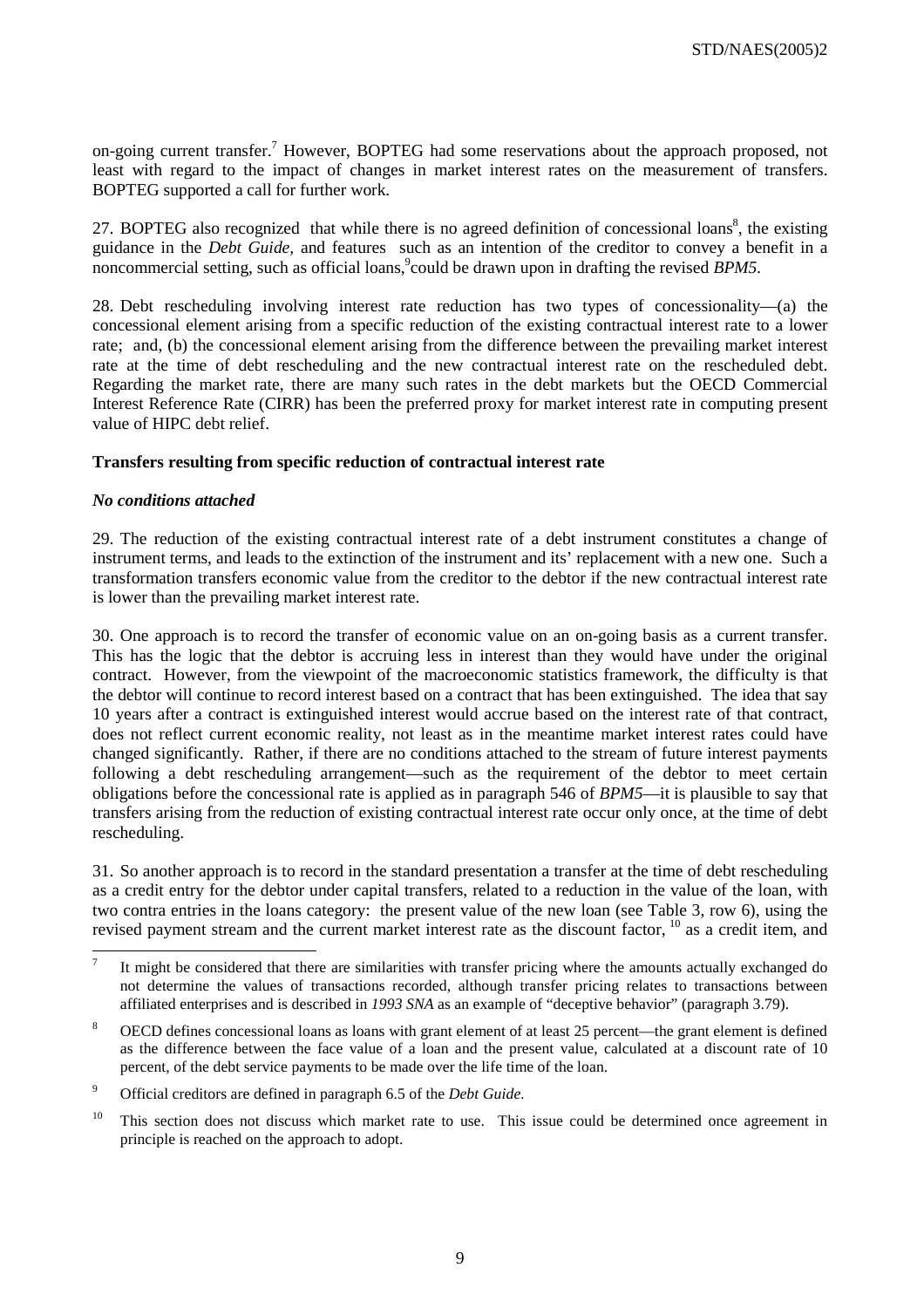on-going current transfer.<sup>7</sup> However, BOPTEG had some reservations about the approach proposed, not least with regard to the impact of changes in market interest rates on the measurement of transfers. BOPTEG supported a call for further work.

27. BOPTEG also recognized that while there is no agreed definition of concessional loans<sup>8</sup>, the existing guidance in the *Debt Guide,* and features such as an intention of the creditor to convey a benefit in a noncommercial setting, such as official loans, could be drawn upon in drafting the revised *BPM5*.

28. Debt rescheduling involving interest rate reduction has two types of concessionality—(a) the concessional element arising from a specific reduction of the existing contractual interest rate to a lower rate; and, (b) the concessional element arising from the difference between the prevailing market interest rate at the time of debt rescheduling and the new contractual interest rate on the rescheduled debt. Regarding the market rate, there are many such rates in the debt markets but the OECD Commercial Interest Reference Rate (CIRR) has been the preferred proxy for market interest rate in computing present value of HIPC debt relief.

#### **Transfers resulting from specific reduction of contractual interest rate**

#### *No conditions attached*

29. The reduction of the existing contractual interest rate of a debt instrument constitutes a change of instrument terms, and leads to the extinction of the instrument and its' replacement with a new one. Such a transformation transfers economic value from the creditor to the debtor if the new contractual interest rate is lower than the prevailing market interest rate.

30. One approach is to record the transfer of economic value on an on-going basis as a current transfer. This has the logic that the debtor is accruing less in interest than they would have under the original contract. However, from the viewpoint of the macroeconomic statistics framework, the difficulty is that the debtor will continue to record interest based on a contract that has been extinguished. The idea that say 10 years after a contract is extinguished interest would accrue based on the interest rate of that contract, does not reflect current economic reality, not least as in the meantime market interest rates could have changed significantly. Rather, if there are no conditions attached to the stream of future interest payments following a debt rescheduling arrangement—such as the requirement of the debtor to meet certain obligations before the concessional rate is applied as in paragraph 546 of *BPM5*—it is plausible to say that transfers arising from the reduction of existing contractual interest rate occur only once, at the time of debt rescheduling.

31. So another approach is to record in the standard presentation a transfer at the time of debt rescheduling as a credit entry for the debtor under capital transfers, related to a reduction in the value of the loan, with two contra entries in the loans category: the present value of the new loan (see Table 3, row 6), using the revised payment stream and the current market interest rate as the discount factor, 10 as a credit item, and

<sup>&</sup>lt;sup>-</sup>7 It might be considered that there are similarities with transfer pricing where the amounts actually exchanged do not determine the values of transactions recorded, although transfer pricing relates to transactions between affiliated enterprises and is described in *1993 SNA* as an example of "deceptive behavior" (paragraph 3.79).

<sup>8</sup> OECD defines concessional loans as loans with grant element of at least 25 percent—the grant element is defined as the difference between the face value of a loan and the present value, calculated at a discount rate of 10 percent, of the debt service payments to be made over the life time of the loan.

 $\overline{9}$ Official creditors are defined in paragraph 6.5 of the *Debt Guide.*

<sup>&</sup>lt;sup>10</sup> This section does not discuss which market rate to use. This issue could be determined once agreement in principle is reached on the approach to adopt.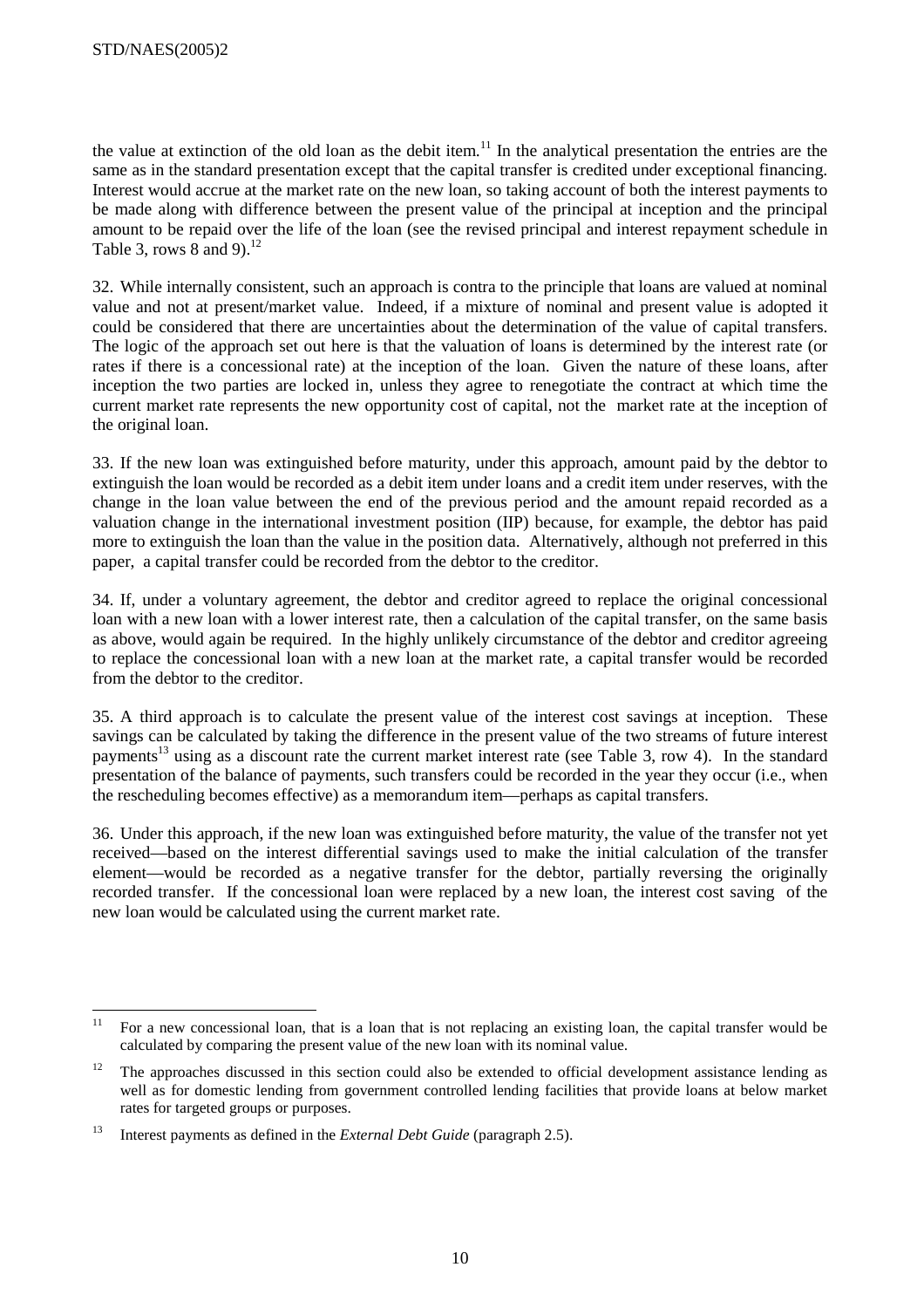the value at extinction of the old loan as the debit item.<sup>11</sup> In the analytical presentation the entries are the same as in the standard presentation except that the capital transfer is credited under exceptional financing. Interest would accrue at the market rate on the new loan, so taking account of both the interest payments to be made along with difference between the present value of the principal at inception and the principal amount to be repaid over the life of the loan (see the revised principal and interest repayment schedule in Table 3, rows 8 and 9). $^{12}$ 

32. While internally consistent, such an approach is contra to the principle that loans are valued at nominal value and not at present/market value. Indeed, if a mixture of nominal and present value is adopted it could be considered that there are uncertainties about the determination of the value of capital transfers. The logic of the approach set out here is that the valuation of loans is determined by the interest rate (or rates if there is a concessional rate) at the inception of the loan. Given the nature of these loans, after inception the two parties are locked in, unless they agree to renegotiate the contract at which time the current market rate represents the new opportunity cost of capital, not the market rate at the inception of the original loan.

33. If the new loan was extinguished before maturity, under this approach, amount paid by the debtor to extinguish the loan would be recorded as a debit item under loans and a credit item under reserves, with the change in the loan value between the end of the previous period and the amount repaid recorded as a valuation change in the international investment position (IIP) because, for example, the debtor has paid more to extinguish the loan than the value in the position data. Alternatively, although not preferred in this paper, a capital transfer could be recorded from the debtor to the creditor.

34. If, under a voluntary agreement, the debtor and creditor agreed to replace the original concessional loan with a new loan with a lower interest rate, then a calculation of the capital transfer, on the same basis as above, would again be required. In the highly unlikely circumstance of the debtor and creditor agreeing to replace the concessional loan with a new loan at the market rate, a capital transfer would be recorded from the debtor to the creditor.

35. A third approach is to calculate the present value of the interest cost savings at inception. These savings can be calculated by taking the difference in the present value of the two streams of future interest payments<sup>13</sup> using as a discount rate the current market interest rate (see Table 3, row 4). In the standard presentation of the balance of payments, such transfers could be recorded in the year they occur (i.e., when the rescheduling becomes effective) as a memorandum item—perhaps as capital transfers.

36. Under this approach, if the new loan was extinguished before maturity, the value of the transfer not yet received—based on the interest differential savings used to make the initial calculation of the transfer element—would be recorded as a negative transfer for the debtor, partially reversing the originally recorded transfer. If the concessional loan were replaced by a new loan, the interest cost saving of the new loan would be calculated using the current market rate.

 $\overline{11}$ 11 For a new concessional loan, that is a loan that is not replacing an existing loan, the capital transfer would be calculated by comparing the present value of the new loan with its nominal value.

 $12$  The approaches discussed in this section could also be extended to official development assistance lending as well as for domestic lending from government controlled lending facilities that provide loans at below market rates for targeted groups or purposes.

<sup>13</sup> Interest payments as defined in the *External Debt Guide* (paragraph 2.5).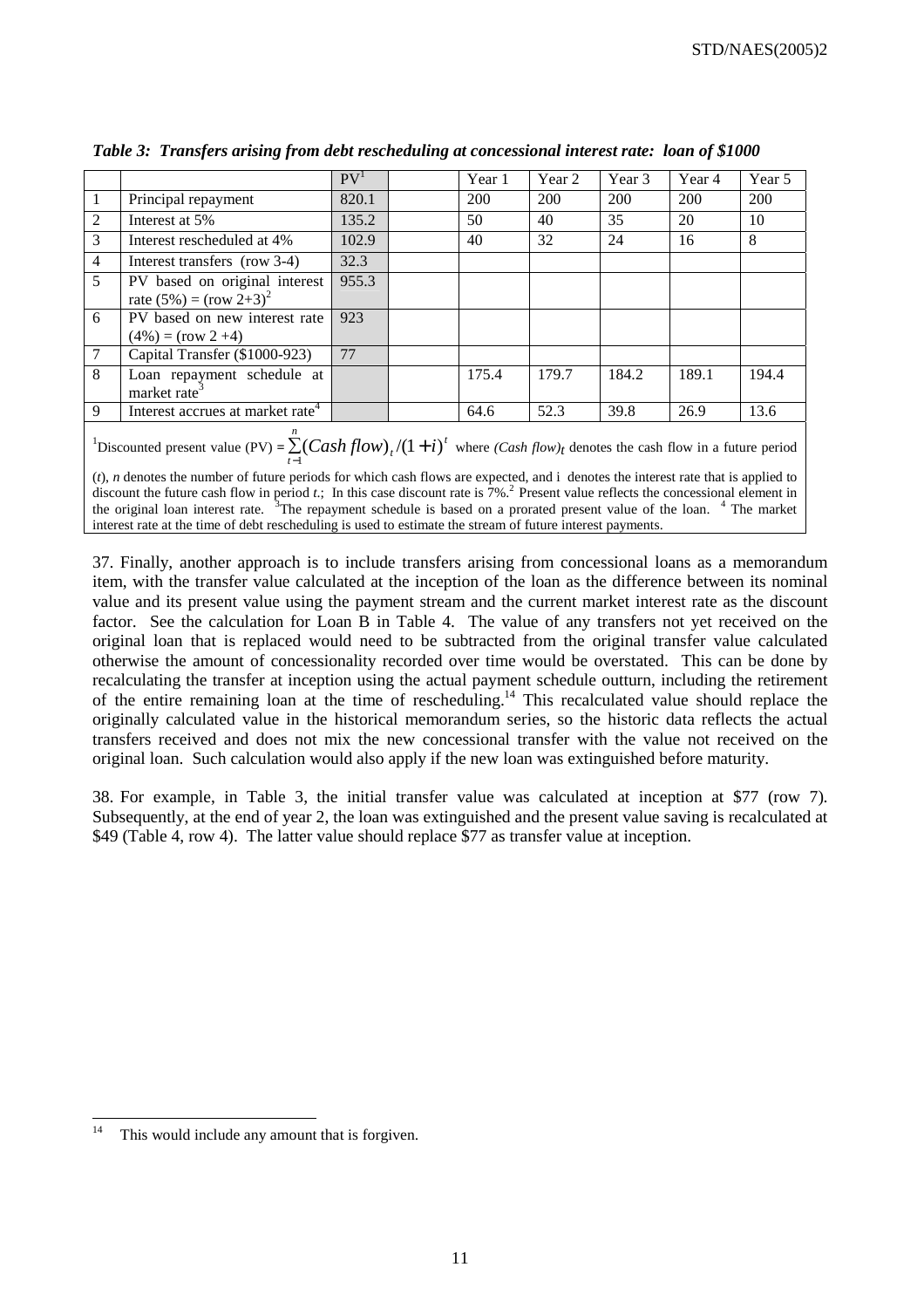|                |                                                             | PV <sup>1</sup> | Year 1 | Year 2 | Year 3 | Year 4 | Year 5 |
|----------------|-------------------------------------------------------------|-----------------|--------|--------|--------|--------|--------|
|                | Principal repayment                                         | 820.1           | 200    | 200    | 200    | 200    | 200    |
| 2              | Interest at 5%                                              | 135.2           | 50     | 40     | 35     | 20     | 10     |
| 3              | Interest rescheduled at 4%                                  | 102.9           | 40     | 32     | 24     | 16     | 8      |
| $\overline{4}$ | Interest transfers (row 3-4)                                | 32.3            |        |        |        |        |        |
| 5              | PV based on original interest<br>rate $(5\%) = (row 2+3)^2$ | 955.3           |        |        |        |        |        |
| 6              | PV based on new interest rate<br>$(4\%) = (row 2 + 4)$      | 923             |        |        |        |        |        |
| $\tau$         | Capital Transfer (\$1000-923)                               | 77              |        |        |        |        |        |
| 8              | Loan repayment schedule at<br>market rate <sup>3</sup>      |                 | 175.4  | 179.7  | 184.2  | 189.1  | 194.4  |
| 9              | Interest accrues at market rate <sup>4</sup>                |                 | 64.6   | 52.3   | 39.8   | 26.9   | 13.6   |
|                | n                                                           |                 |        |        |        |        |        |

*Table 3: Transfers arising from debt rescheduling at concessional interest rate: loan of \$1000* 

<sup>1</sup>Discounted present value (PV) =  $\sum_{n=1}^{\infty} (Cash flow)_{t} / (1 + i)^{t}$  $\sum_{t=1}^{\infty}$  (*Cash flow*)<sub>t</sub> /(1 + i)<sup>t</sup> where (*Cash flow*)<sub>t</sub> denotes the cash flow in a future period

(*t*), *n* denotes the number of future periods for which cash flows are expected, and i denotes the interest rate that is applied to discount the future cash flow in period *t*.; In this case discount rate is  $7\%$ <sup>2</sup> Present value reflects the concessional element in the original loan interest rate. <sup>3</sup>The repayment schedule is based on a prorated present value of the loan. <sup>4</sup> The market interest rate at the time of debt rescheduling is used to estimate the stream of future interest payments.

37. Finally, another approach is to include transfers arising from concessional loans as a memorandum item, with the transfer value calculated at the inception of the loan as the difference between its nominal value and its present value using the payment stream and the current market interest rate as the discount factor. See the calculation for Loan B in Table 4. The value of any transfers not yet received on the original loan that is replaced would need to be subtracted from the original transfer value calculated otherwise the amount of concessionality recorded over time would be overstated. This can be done by recalculating the transfer at inception using the actual payment schedule outturn, including the retirement of the entire remaining loan at the time of rescheduling.14 This recalculated value should replace the originally calculated value in the historical memorandum series, so the historic data reflects the actual transfers received and does not mix the new concessional transfer with the value not received on the original loan. Such calculation would also apply if the new loan was extinguished before maturity.

38. For example, in Table 3, the initial transfer value was calculated at inception at \$77 (row 7). Subsequently, at the end of year 2, the loan was extinguished and the present value saving is recalculated at \$49 (Table 4, row 4). The latter value should replace \$77 as transfer value at inception.

 $14$ This would include any amount that is forgiven.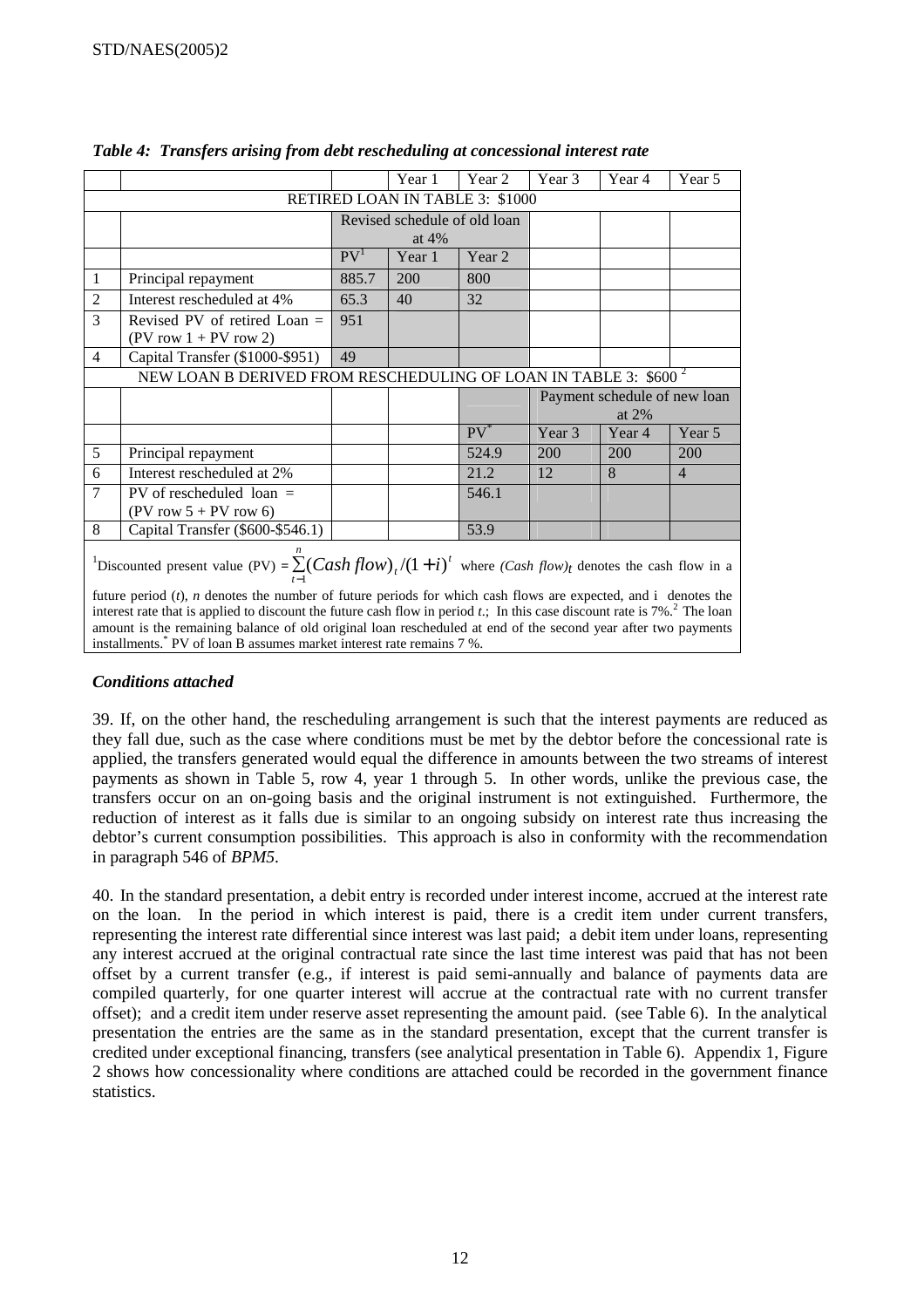|                |                                                                                                                                                                                                                                                                                                                                                                                                                                                                                                                                                                                            |                 | Year 1                                  | Year 2                          | Year 3 | Year 4                                   | Year 5         |  |  |
|----------------|--------------------------------------------------------------------------------------------------------------------------------------------------------------------------------------------------------------------------------------------------------------------------------------------------------------------------------------------------------------------------------------------------------------------------------------------------------------------------------------------------------------------------------------------------------------------------------------------|-----------------|-----------------------------------------|---------------------------------|--------|------------------------------------------|----------------|--|--|
|                |                                                                                                                                                                                                                                                                                                                                                                                                                                                                                                                                                                                            |                 |                                         | RETIRED LOAN IN TABLE 3: \$1000 |        |                                          |                |  |  |
|                |                                                                                                                                                                                                                                                                                                                                                                                                                                                                                                                                                                                            |                 | Revised schedule of old loan<br>at $4%$ |                                 |        |                                          |                |  |  |
|                |                                                                                                                                                                                                                                                                                                                                                                                                                                                                                                                                                                                            | PV <sup>1</sup> | Year 1                                  | Year 2                          |        |                                          |                |  |  |
| 1              | Principal repayment                                                                                                                                                                                                                                                                                                                                                                                                                                                                                                                                                                        | 885.7           | 200                                     | 800                             |        |                                          |                |  |  |
| 2              | Interest rescheduled at 4%                                                                                                                                                                                                                                                                                                                                                                                                                                                                                                                                                                 | 65.3            | 40                                      | 32                              |        |                                          |                |  |  |
| 3              | Revised PV of retired Loan $=$<br>$(PV row 1 + PV row 2)$                                                                                                                                                                                                                                                                                                                                                                                                                                                                                                                                  | 951             |                                         |                                 |        |                                          |                |  |  |
| $\overline{4}$ | Capital Transfer (\$1000-\$951)                                                                                                                                                                                                                                                                                                                                                                                                                                                                                                                                                            | 49              |                                         |                                 |        |                                          |                |  |  |
|                | NEW LOAN B DERIVED FROM RESCHEDULING OF LOAN IN TABLE 3: \$600 <sup>2</sup>                                                                                                                                                                                                                                                                                                                                                                                                                                                                                                                |                 |                                         |                                 |        |                                          |                |  |  |
|                |                                                                                                                                                                                                                                                                                                                                                                                                                                                                                                                                                                                            |                 |                                         |                                 |        | Payment schedule of new loan<br>at $2\%$ |                |  |  |
|                |                                                                                                                                                                                                                                                                                                                                                                                                                                                                                                                                                                                            |                 |                                         | $PV^*$                          | Year 3 | Year 4                                   | Year 5         |  |  |
| 5              | Principal repayment                                                                                                                                                                                                                                                                                                                                                                                                                                                                                                                                                                        |                 |                                         | 524.9                           | 200    | 200                                      | 200            |  |  |
| 6              | Interest rescheduled at 2%                                                                                                                                                                                                                                                                                                                                                                                                                                                                                                                                                                 |                 |                                         | 21.2                            | 12     | 8                                        | $\overline{4}$ |  |  |
| 7              | PV of rescheduled $\alpha$ =<br>$(PV row 5 + PV row 6)$                                                                                                                                                                                                                                                                                                                                                                                                                                                                                                                                    |                 |                                         | 546.1                           |        |                                          |                |  |  |
| 8              | Capital Transfer (\$600-\$546.1)                                                                                                                                                                                                                                                                                                                                                                                                                                                                                                                                                           |                 |                                         | 53.9                            |        |                                          |                |  |  |
|                | <sup>1</sup> Discounted present value (PV) = $\sum (Cashflow)_t/(1+i)^t$ where $(Cash flow)_t$ denotes the cash flow in a<br>future period $(t)$ , <i>n</i> denotes the number of future periods for which cash flows are expected, and i denotes the<br>interest rate that is applied to discount the future cash flow in period $t$ .; In this case discount rate is 7%. <sup>2</sup> The loan<br>amount is the remaining balance of old original loan rescheduled at end of the second year after two payments<br>installments.* PV of loan B assumes market interest rate remains 7 %. |                 |                                         |                                 |        |                                          |                |  |  |

*Table 4: Transfers arising from debt rescheduling at concessional interest rate* 

# *Conditions attached*

39. If, on the other hand, the rescheduling arrangement is such that the interest payments are reduced as they fall due, such as the case where conditions must be met by the debtor before the concessional rate is applied, the transfers generated would equal the difference in amounts between the two streams of interest payments as shown in Table 5, row 4, year 1 through 5. In other words, unlike the previous case, the transfers occur on an on-going basis and the original instrument is not extinguished. Furthermore, the reduction of interest as it falls due is similar to an ongoing subsidy on interest rate thus increasing the debtor's current consumption possibilities. This approach is also in conformity with the recommendation in paragraph 546 of *BPM5*.

40. In the standard presentation, a debit entry is recorded under interest income, accrued at the interest rate on the loan. In the period in which interest is paid, there is a credit item under current transfers, representing the interest rate differential since interest was last paid; a debit item under loans, representing any interest accrued at the original contractual rate since the last time interest was paid that has not been offset by a current transfer (e.g., if interest is paid semi-annually and balance of payments data are compiled quarterly, for one quarter interest will accrue at the contractual rate with no current transfer offset); and a credit item under reserve asset representing the amount paid. (see Table 6). In the analytical presentation the entries are the same as in the standard presentation, except that the current transfer is credited under exceptional financing, transfers (see analytical presentation in Table 6). Appendix 1, Figure 2 shows how concessionality where conditions are attached could be recorded in the government finance statistics.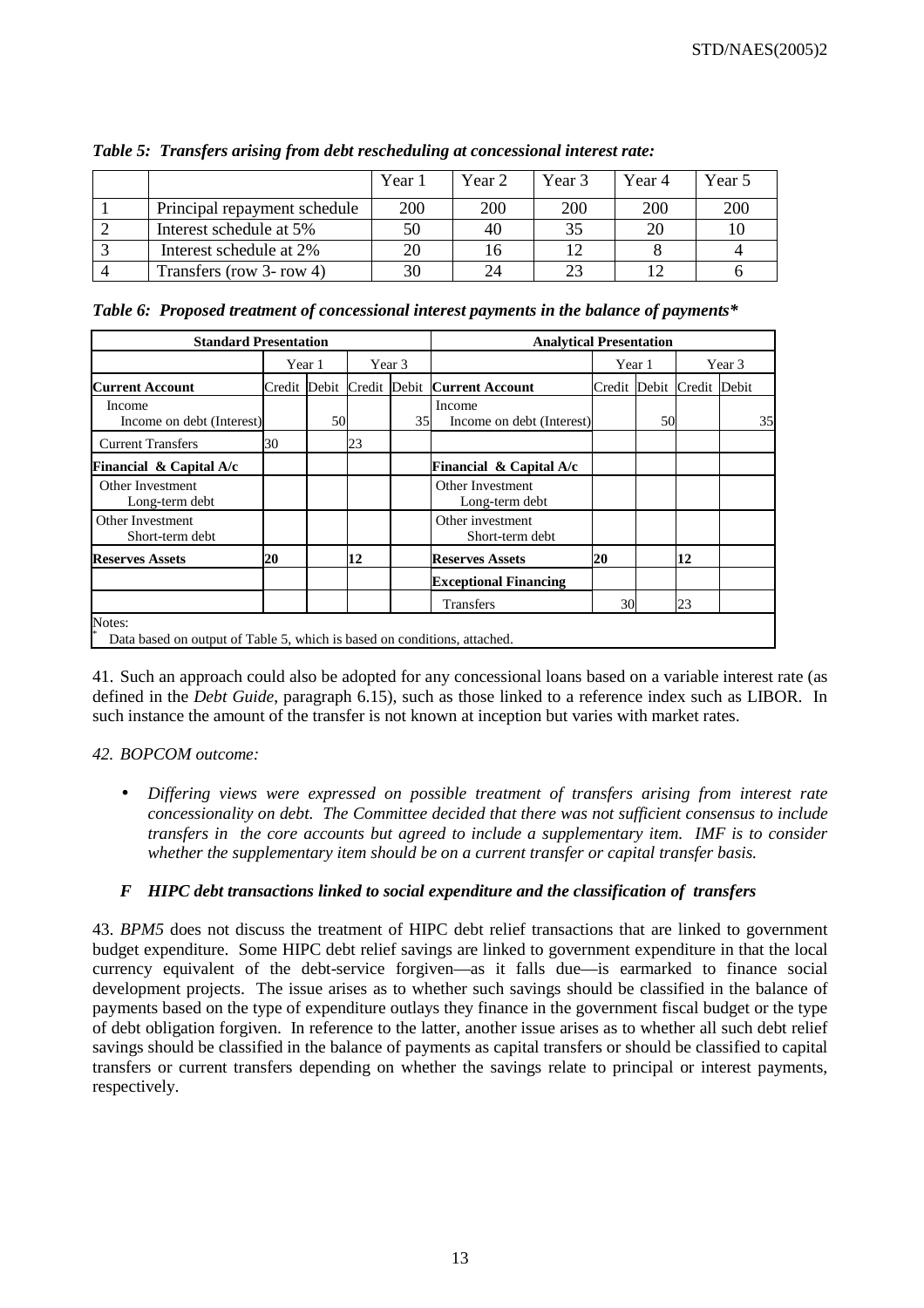|                              | Year 1 | Year <sub>2</sub> | Year 3     | Year 4 | Year 5 |
|------------------------------|--------|-------------------|------------|--------|--------|
| Principal repayment schedule | 200    | 200               | <b>200</b> | 200    | 200    |
| Interest schedule at 5%      |        | 40                | 35         |        |        |
| Interest schedule at 2%      |        | 16                |            |        |        |
| Transfers (row 3- row 4)     |        |                   | 23         |        |        |

*Table 5: Transfers arising from debt rescheduling at concessional interest rate:* 

*Table 6: Proposed treatment of concessional interest payments in the balance of payments\** 

| <b>Standard Presentation</b>                                                       |        |    |    |        | <b>Analytical Presentation</b>            |    |        |                           |  |    |
|------------------------------------------------------------------------------------|--------|----|----|--------|-------------------------------------------|----|--------|---------------------------|--|----|
|                                                                                    | Year 1 |    |    | Year 3 |                                           |    | Year 1 | Year 3                    |  |    |
| <b>Current Account</b>                                                             |        |    |    |        | Credit Debit Credit Debit Current Account |    |        | Credit Debit Credit Debit |  |    |
| Income<br>Income on debt (Interest)                                                |        | 50 |    | 35     | Income<br>Income on debt (Interest)       |    | 50     |                           |  | 35 |
| <b>Current Transfers</b>                                                           | 30     |    | 23 |        |                                           |    |        |                           |  |    |
| Financial & Capital A/c                                                            |        |    |    |        | Financial & Capital A/c                   |    |        |                           |  |    |
| Other Investment<br>Long-term debt                                                 |        |    |    |        | Other Investment<br>Long-term debt        |    |        |                           |  |    |
| Other Investment<br>Short-term debt                                                |        |    |    |        | Other investment<br>Short-term debt       |    |        |                           |  |    |
| <b>Reserves Assets</b>                                                             | 20     |    | 12 |        | <b>Reserves Assets</b>                    | 20 |        | 12                        |  |    |
|                                                                                    |        |    |    |        | <b>Exceptional Financing</b>              |    |        |                           |  |    |
|                                                                                    |        |    |    |        | <b>Transfers</b>                          | 30 |        | 23                        |  |    |
| Notes:<br>Data based on output of Table 5, which is based on conditions, attached. |        |    |    |        |                                           |    |        |                           |  |    |

41. Such an approach could also be adopted for any concessional loans based on a variable interest rate (as defined in the *Debt Guide*, paragraph 6.15), such as those linked to a reference index such as LIBOR. In such instance the amount of the transfer is not known at inception but varies with market rates.

# *42. BOPCOM outcome:*

• *Differing views were expressed on possible treatment of transfers arising from interest rate concessionality on debt. The Committee decided that there was not sufficient consensus to include transfers in the core accounts but agreed to include a supplementary item. IMF is to consider whether the supplementary item should be on a current transfer or capital transfer basis.* 

# *F HIPC debt transactions linked to social expenditure and the classification of transfers*

43. *BPM5* does not discuss the treatment of HIPC debt relief transactions that are linked to government budget expenditure. Some HIPC debt relief savings are linked to government expenditure in that the local currency equivalent of the debt-service forgiven—as it falls due—is earmarked to finance social development projects. The issue arises as to whether such savings should be classified in the balance of payments based on the type of expenditure outlays they finance in the government fiscal budget or the type of debt obligation forgiven. In reference to the latter, another issue arises as to whether all such debt relief savings should be classified in the balance of payments as capital transfers or should be classified to capital transfers or current transfers depending on whether the savings relate to principal or interest payments, respectively.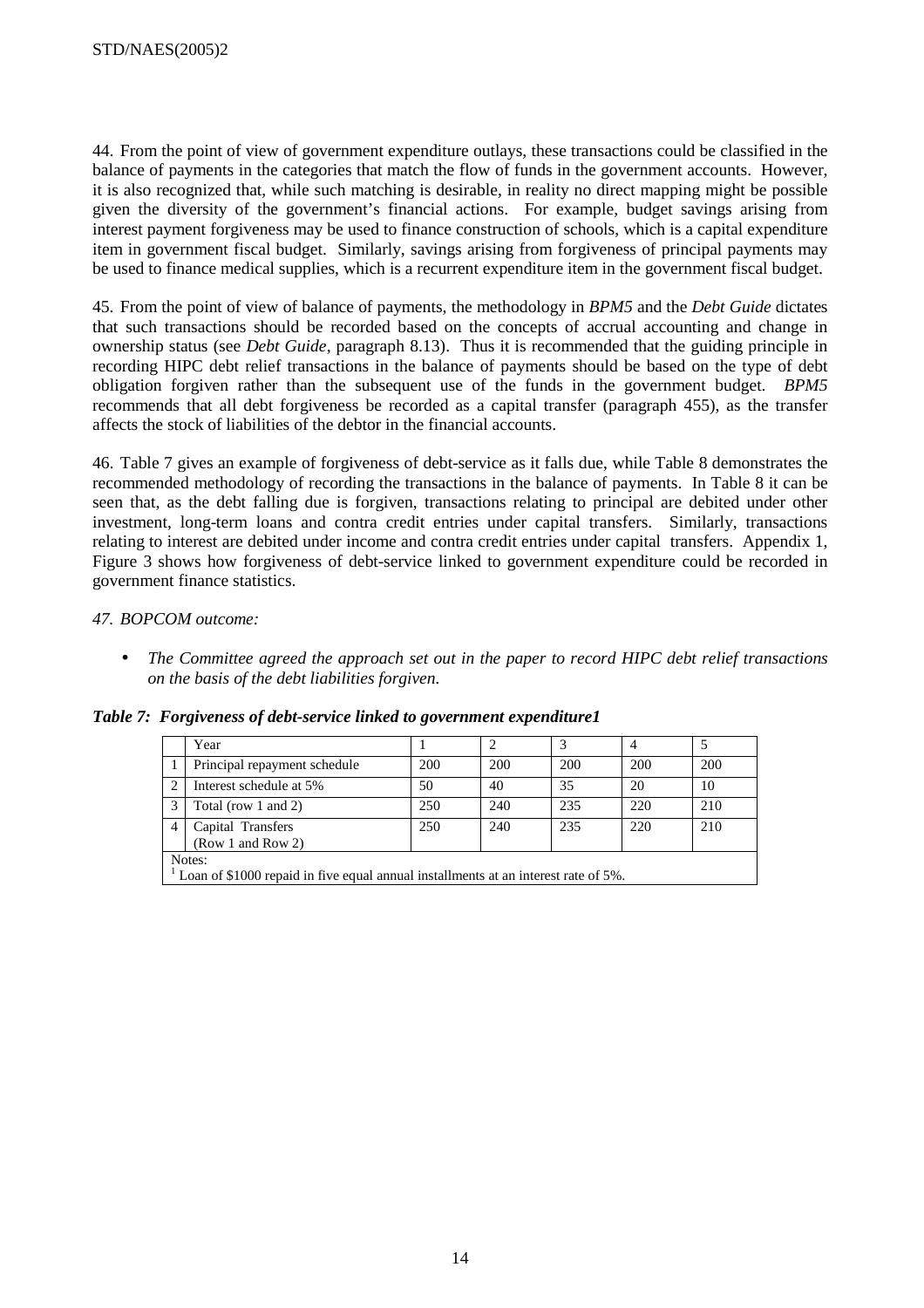44. From the point of view of government expenditure outlays, these transactions could be classified in the balance of payments in the categories that match the flow of funds in the government accounts. However, it is also recognized that, while such matching is desirable, in reality no direct mapping might be possible given the diversity of the government's financial actions. For example, budget savings arising from interest payment forgiveness may be used to finance construction of schools, which is a capital expenditure item in government fiscal budget. Similarly, savings arising from forgiveness of principal payments may be used to finance medical supplies, which is a recurrent expenditure item in the government fiscal budget.

45. From the point of view of balance of payments, the methodology in *BPM5* and the *Debt Guide* dictates that such transactions should be recorded based on the concepts of accrual accounting and change in ownership status (see *Debt Guide*, paragraph 8.13). Thus it is recommended that the guiding principle in recording HIPC debt relief transactions in the balance of payments should be based on the type of debt obligation forgiven rather than the subsequent use of the funds in the government budget. *BPM5* recommends that all debt forgiveness be recorded as a capital transfer (paragraph 455), as the transfer affects the stock of liabilities of the debtor in the financial accounts.

46. Table 7 gives an example of forgiveness of debt-service as it falls due, while Table 8 demonstrates the recommended methodology of recording the transactions in the balance of payments. In Table 8 it can be seen that, as the debt falling due is forgiven, transactions relating to principal are debited under other investment, long-term loans and contra credit entries under capital transfers. Similarly, transactions relating to interest are debited under income and contra credit entries under capital transfers. Appendix 1, Figure 3 shows how forgiveness of debt-service linked to government expenditure could be recorded in government finance statistics.

# *47. BOPCOM outcome:*

• *The Committee agreed the approach set out in the paper to record HIPC debt relief transactions on the basis of the debt liabilities forgiven.* 

*Table 7: Forgiveness of debt-service linked to government expenditure1* 

|                | Year                                                                                         |     |     | 3   |     |     |  |  |  |  |
|----------------|----------------------------------------------------------------------------------------------|-----|-----|-----|-----|-----|--|--|--|--|
|                | Principal repayment schedule                                                                 | 200 | 200 | 200 | 200 | 200 |  |  |  |  |
|                | Interest schedule at 5%                                                                      | 50  | 40  | 35  | 20  | 10  |  |  |  |  |
| 3              | Total (row 1 and 2)                                                                          | 250 | 240 | 235 | 220 | 210 |  |  |  |  |
| $\overline{4}$ | 240<br>250<br>235<br>220<br>210<br>Capital Transfers<br>(Row 1 and Row 2)                    |     |     |     |     |     |  |  |  |  |
|                | Notes:<br>Loan of \$1000 repaid in five equal annual installments at an interest rate of 5%. |     |     |     |     |     |  |  |  |  |

Loan of \$1000 repaid in five equal annual installments at an interest rate of 5%.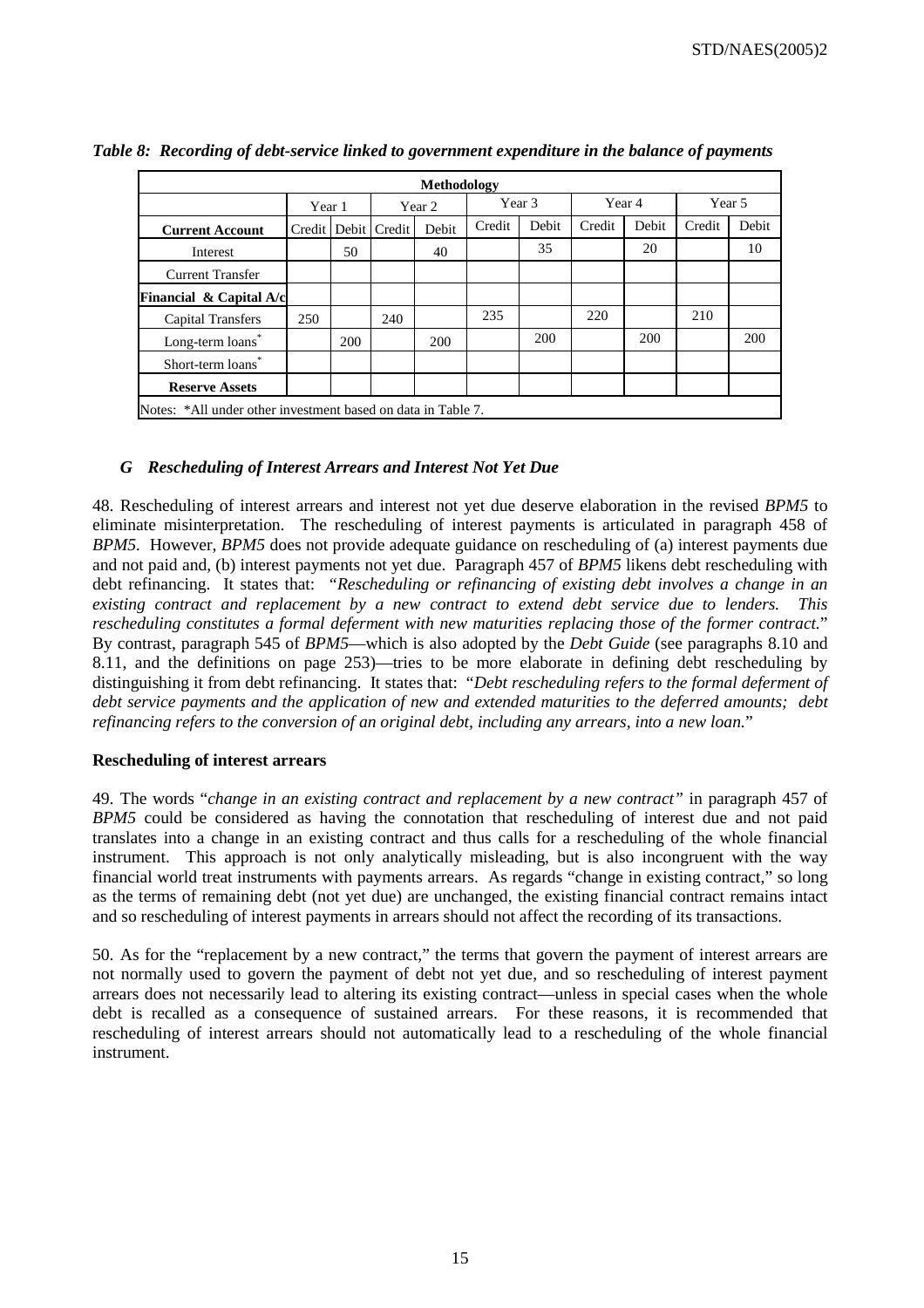|                                                              | Methodology |     |                         |        |        |       |        |       |        |        |  |  |
|--------------------------------------------------------------|-------------|-----|-------------------------|--------|--------|-------|--------|-------|--------|--------|--|--|
|                                                              | Year 1      |     |                         | Year 2 | Year 3 |       | Year 4 |       |        | Year 5 |  |  |
| <b>Current Account</b>                                       |             |     | Credit   Debit   Credit | Debit  | Credit | Debit | Credit | Debit | Credit | Debit  |  |  |
| Interest                                                     |             | 50  |                         | 40     |        | 35    |        | 20    |        | 10     |  |  |
| <b>Current Transfer</b>                                      |             |     |                         |        |        |       |        |       |        |        |  |  |
| Financial $\&$ Capital A/c                                   |             |     |                         |        |        |       |        |       |        |        |  |  |
| <b>Capital Transfers</b>                                     | 250         |     | 240                     |        | 235    |       | 220    |       | 210    |        |  |  |
| Long-term loans*                                             |             | 200 |                         | 200    |        | 200   |        | 200   |        | 200    |  |  |
| Short-term loans*                                            |             |     |                         |        |        |       |        |       |        |        |  |  |
| <b>Reserve Assets</b>                                        |             |     |                         |        |        |       |        |       |        |        |  |  |
| Notes: *All under other investment based on data in Table 7. |             |     |                         |        |        |       |        |       |        |        |  |  |

# *Table 8: Recording of debt-service linked to government expenditure in the balance of payments*

# *G Rescheduling of Interest Arrears and Interest Not Yet Due*

48. Rescheduling of interest arrears and interest not yet due deserve elaboration in the revised *BPM5* to eliminate misinterpretation. The rescheduling of interest payments is articulated in paragraph 458 of *BPM5.* However, *BPM5* does not provide adequate guidance on rescheduling of (a) interest payments due and not paid and, (b) interest payments not yet due. Paragraph 457 of *BPM5* likens debt rescheduling with debt refinancing. It states that: *"Rescheduling or refinancing of existing debt involves a change in an existing contract and replacement by a new contract to extend debt service due to lenders. This rescheduling constitutes a formal deferment with new maturities replacing those of the former contract.*" By contrast, paragraph 545 of *BPM5*—which is also adopted by the *Debt Guide* (see paragraphs 8.10 and 8.11, and the definitions on page 253)—tries to be more elaborate in defining debt rescheduling by distinguishing it from debt refinancing. It states that: "*Debt rescheduling refers to the formal deferment of debt service payments and the application of new and extended maturities to the deferred amounts; debt refinancing refers to the conversion of an original debt, including any arrears, into a new loan.*"

## **Rescheduling of interest arrears**

49. The words "*change in an existing contract and replacement by a new contract"* in paragraph 457 of *BPM5* could be considered as having the connotation that rescheduling of interest due and not paid translates into a change in an existing contract and thus calls for a rescheduling of the whole financial instrument. This approach is not only analytically misleading, but is also incongruent with the way financial world treat instruments with payments arrears. As regards "change in existing contract," so long as the terms of remaining debt (not yet due) are unchanged, the existing financial contract remains intact and so rescheduling of interest payments in arrears should not affect the recording of its transactions.

50. As for the "replacement by a new contract," the terms that govern the payment of interest arrears are not normally used to govern the payment of debt not yet due, and so rescheduling of interest payment arrears does not necessarily lead to altering its existing contract—unless in special cases when the whole debt is recalled as a consequence of sustained arrears. For these reasons, it is recommended that rescheduling of interest arrears should not automatically lead to a rescheduling of the whole financial instrument.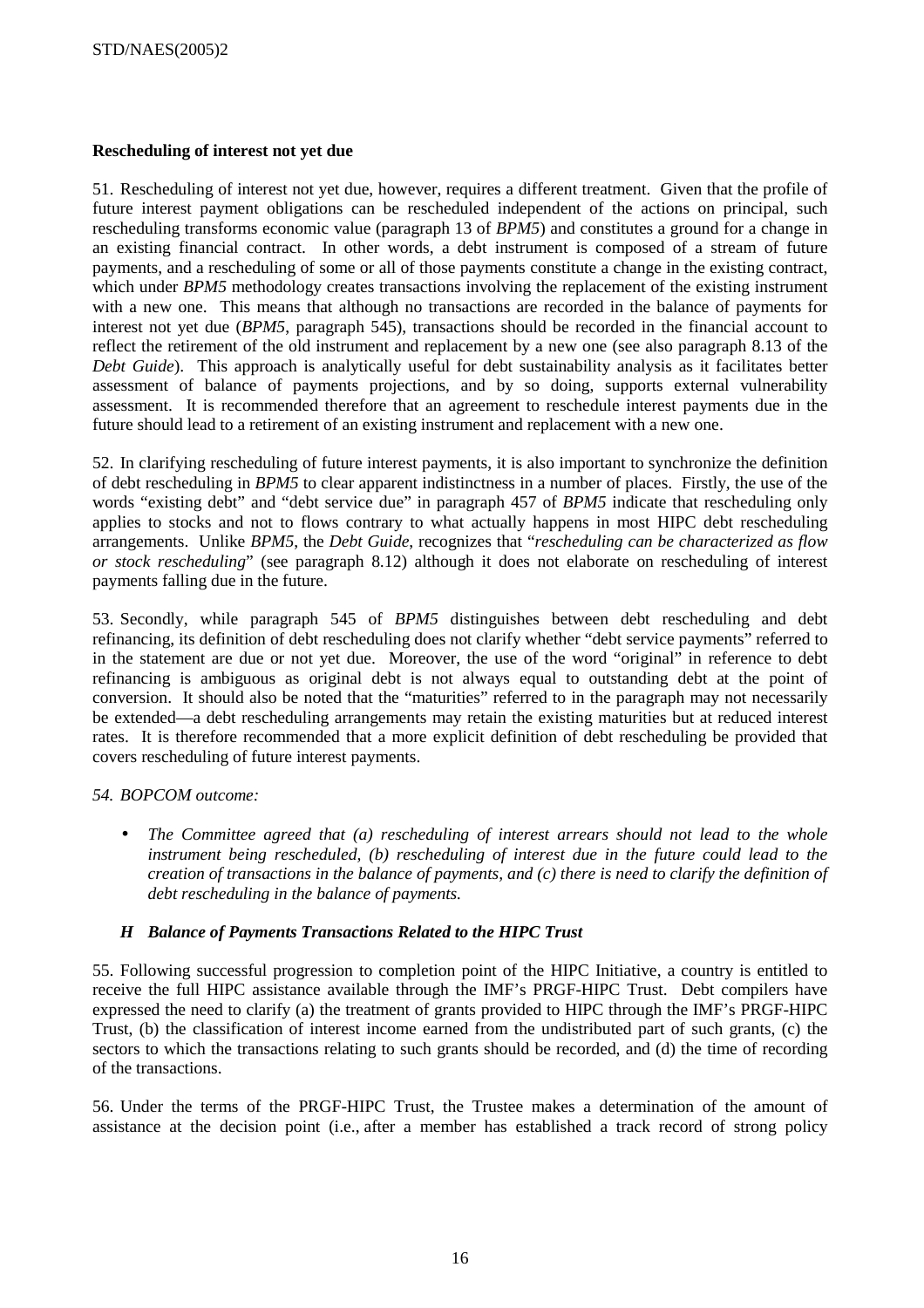# **Rescheduling of interest not yet due**

51. Rescheduling of interest not yet due, however, requires a different treatment. Given that the profile of future interest payment obligations can be rescheduled independent of the actions on principal, such rescheduling transforms economic value (paragraph 13 of *BPM5*) and constitutes a ground for a change in an existing financial contract. In other words, a debt instrument is composed of a stream of future payments, and a rescheduling of some or all of those payments constitute a change in the existing contract, which under *BPM5* methodology creates transactions involving the replacement of the existing instrument with a new one. This means that although no transactions are recorded in the balance of payments for interest not yet due (*BPM5*, paragraph 545), transactions should be recorded in the financial account to reflect the retirement of the old instrument and replacement by a new one (see also paragraph 8.13 of the *Debt Guide*). This approach is analytically useful for debt sustainability analysis as it facilitates better assessment of balance of payments projections, and by so doing, supports external vulnerability assessment. It is recommended therefore that an agreement to reschedule interest payments due in the future should lead to a retirement of an existing instrument and replacement with a new one.

52. In clarifying rescheduling of future interest payments, it is also important to synchronize the definition of debt rescheduling in *BPM5* to clear apparent indistinctness in a number of places. Firstly, the use of the words "existing debt" and "debt service due" in paragraph 457 of *BPM5* indicate that rescheduling only applies to stocks and not to flows contrary to what actually happens in most HIPC debt rescheduling arrangements. Unlike *BPM5*, the *Debt Guide*, recognizes that "*rescheduling can be characterized as flow or stock rescheduling*" (see paragraph 8.12) although it does not elaborate on rescheduling of interest payments falling due in the future.

53. Secondly, while paragraph 545 of *BPM5* distinguishes between debt rescheduling and debt refinancing, its definition of debt rescheduling does not clarify whether "debt service payments" referred to in the statement are due or not yet due. Moreover, the use of the word "original" in reference to debt refinancing is ambiguous as original debt is not always equal to outstanding debt at the point of conversion. It should also be noted that the "maturities" referred to in the paragraph may not necessarily be extended—a debt rescheduling arrangements may retain the existing maturities but at reduced interest rates. It is therefore recommended that a more explicit definition of debt rescheduling be provided that covers rescheduling of future interest payments.

# *54. BOPCOM outcome:*

• *The Committee agreed that (a) rescheduling of interest arrears should not lead to the whole instrument being rescheduled, (b) rescheduling of interest due in the future could lead to the creation of transactions in the balance of payments, and (c) there is need to clarify the definition of debt rescheduling in the balance of payments.* 

## *H Balance of Payments Transactions Related to the HIPC Trust*

55. Following successful progression to completion point of the HIPC Initiative, a country is entitled to receive the full HIPC assistance available through the IMF's PRGF-HIPC Trust. Debt compilers have expressed the need to clarify (a) the treatment of grants provided to HIPC through the IMF's PRGF-HIPC Trust, (b) the classification of interest income earned from the undistributed part of such grants, (c) the sectors to which the transactions relating to such grants should be recorded, and (d) the time of recording of the transactions.

56. Under the terms of the PRGF-HIPC Trust, the Trustee makes a determination of the amount of assistance at the decision point (i.e., after a member has established a track record of strong policy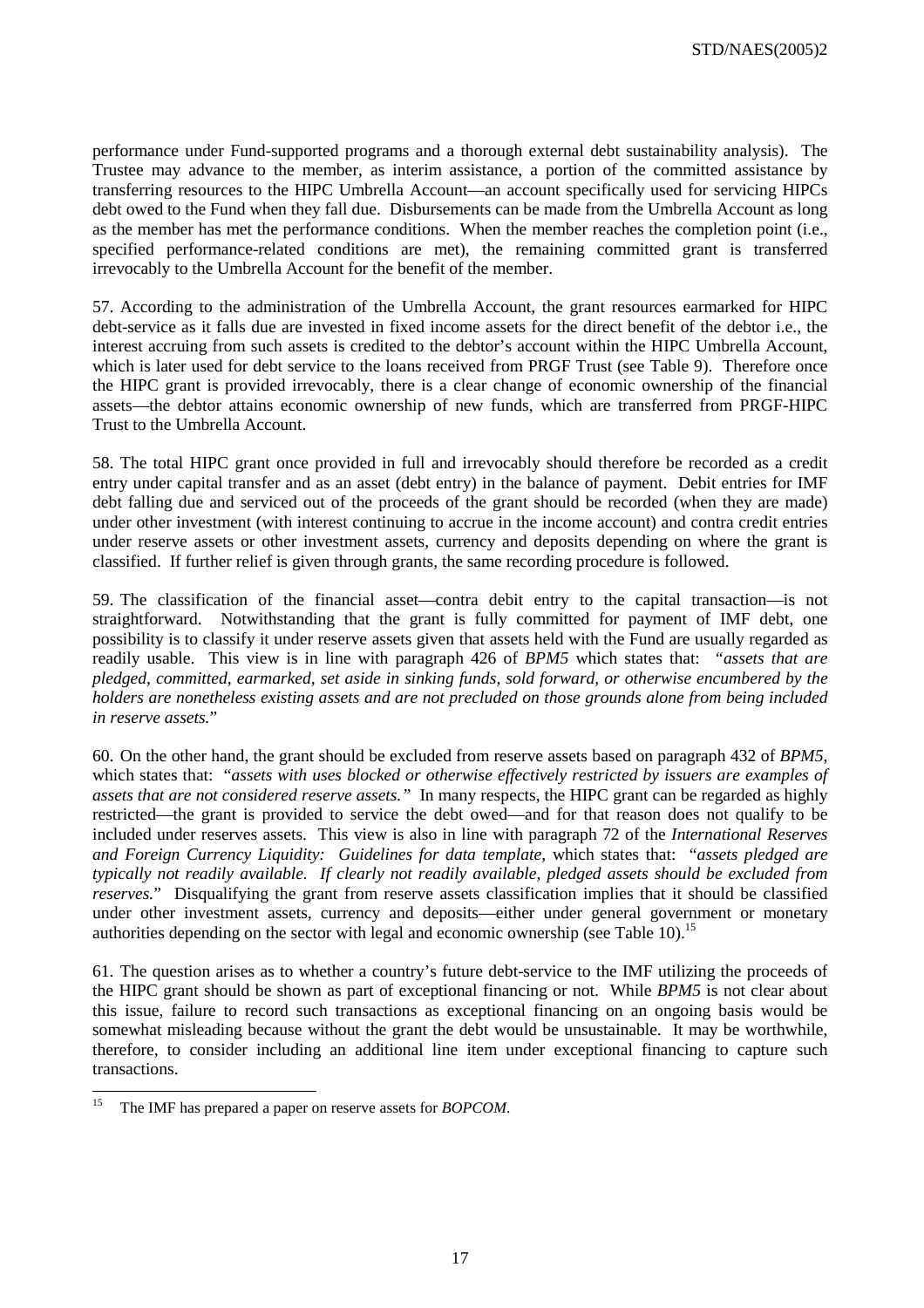performance under Fund-supported programs and a thorough external debt sustainability analysis). The Trustee may advance to the member, as interim assistance, a portion of the committed assistance by transferring resources to the HIPC Umbrella Account—an account specifically used for servicing HIPCs debt owed to the Fund when they fall due. Disbursements can be made from the Umbrella Account as long as the member has met the performance conditions. When the member reaches the completion point (i.e., specified performance-related conditions are met), the remaining committed grant is transferred irrevocably to the Umbrella Account for the benefit of the member.

57. According to the administration of the Umbrella Account, the grant resources earmarked for HIPC debt-service as it falls due are invested in fixed income assets for the direct benefit of the debtor i.e., the interest accruing from such assets is credited to the debtor's account within the HIPC Umbrella Account, which is later used for debt service to the loans received from PRGF Trust (see Table 9). Therefore once the HIPC grant is provided irrevocably, there is a clear change of economic ownership of the financial assets—the debtor attains economic ownership of new funds, which are transferred from PRGF-HIPC Trust to the Umbrella Account.

58. The total HIPC grant once provided in full and irrevocably should therefore be recorded as a credit entry under capital transfer and as an asset (debt entry) in the balance of payment. Debit entries for IMF debt falling due and serviced out of the proceeds of the grant should be recorded (when they are made) under other investment (with interest continuing to accrue in the income account) and contra credit entries under reserve assets or other investment assets, currency and deposits depending on where the grant is classified. If further relief is given through grants, the same recording procedure is followed.

59. The classification of the financial asset—contra debit entry to the capital transaction—is not straightforward. Notwithstanding that the grant is fully committed for payment of IMF debt, one possibility is to classify it under reserve assets given that assets held with the Fund are usually regarded as readily usable. This view is in line with paragraph 426 of *BPM5* which states that: *"assets that are pledged, committed, earmarked, set aside in sinking funds, sold forward, or otherwise encumbered by the holders are nonetheless existing assets and are not precluded on those grounds alone from being included in reserve assets.*"

60. On the other hand, the grant should be excluded from reserve assets based on paragraph 432 of *BPM5,* which states that: "*assets with uses blocked or otherwise effectively restricted by issuers are examples of assets that are not considered reserve assets."* In many respects, the HIPC grant can be regarded as highly restricted—the grant is provided to service the debt owed—and for that reason does not qualify to be included under reserves assets. This view is also in line with paragraph 72 of the *International Reserves and Foreign Currency Liquidity: Guidelines for data template,* which states that: "*assets pledged are typically not readily available. If clearly not readily available, pledged assets should be excluded from reserves.*" Disqualifying the grant from reserve assets classification implies that it should be classified under other investment assets, currency and deposits—either under general government or monetary authorities depending on the sector with legal and economic ownership (see Table 10).<sup>15</sup>

61. The question arises as to whether a country's future debt-service to the IMF utilizing the proceeds of the HIPC grant should be shown as part of exceptional financing or not. While *BPM5* is not clear about this issue, failure to record such transactions as exceptional financing on an ongoing basis would be somewhat misleading because without the grant the debt would be unsustainable. It may be worthwhile, therefore, to consider including an additional line item under exceptional financing to capture such transactions.

 $15$ 15 The IMF has prepared a paper on reserve assets for *BOPCOM*.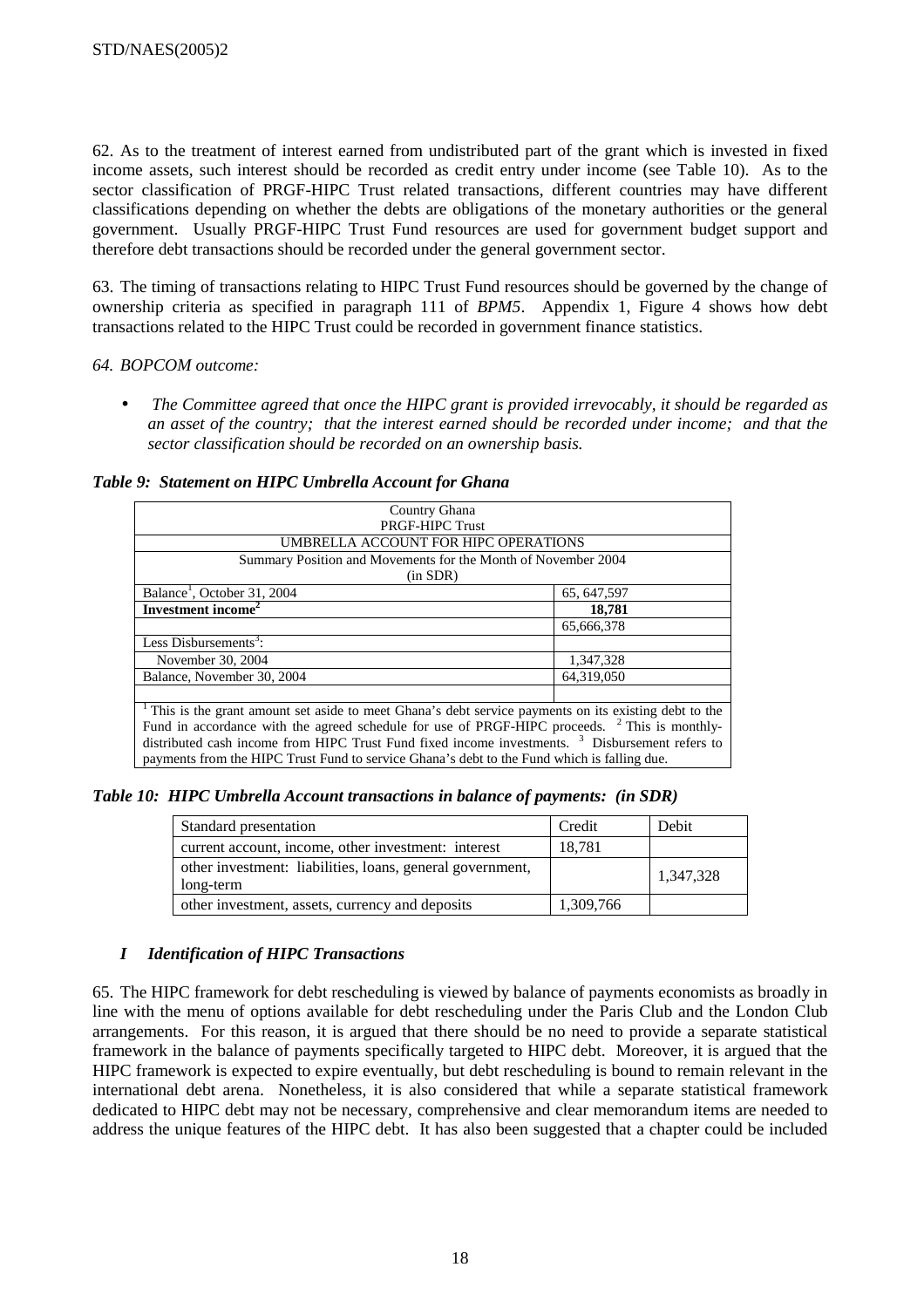62. As to the treatment of interest earned from undistributed part of the grant which is invested in fixed income assets, such interest should be recorded as credit entry under income (see Table 10). As to the sector classification of PRGF-HIPC Trust related transactions, different countries may have different classifications depending on whether the debts are obligations of the monetary authorities or the general government. Usually PRGF-HIPC Trust Fund resources are used for government budget support and therefore debt transactions should be recorded under the general government sector.

63. The timing of transactions relating to HIPC Trust Fund resources should be governed by the change of ownership criteria as specified in paragraph 111 of *BPM5*. Appendix 1, Figure 4 shows how debt transactions related to the HIPC Trust could be recorded in government finance statistics.

## *64. BOPCOM outcome:*

• *The Committee agreed that once the HIPC grant is provided irrevocably, it should be regarded as an asset of the country; that the interest earned should be recorded under income; and that the sector classification should be recorded on an ownership basis.* 

## *Table 9: Statement on HIPC Umbrella Account for Ghana*

| Country Ghana                                                                                              |              |  |  |  |  |  |  |
|------------------------------------------------------------------------------------------------------------|--------------|--|--|--|--|--|--|
| <b>PRGF-HIPC Trust</b>                                                                                     |              |  |  |  |  |  |  |
| UMBRELLA ACCOUNT FOR HIPC OPERATIONS                                                                       |              |  |  |  |  |  |  |
| Summary Position and Movements for the Month of November 2004                                              |              |  |  |  |  |  |  |
| (in SDR)                                                                                                   |              |  |  |  |  |  |  |
| Balance <sup>1</sup> , October 31, 2004                                                                    | 65, 647, 597 |  |  |  |  |  |  |
| Investment income <sup>2</sup>                                                                             | 18.781       |  |  |  |  |  |  |
|                                                                                                            | 65.666.378   |  |  |  |  |  |  |
| Less Disbursements <sup>3</sup> :                                                                          |              |  |  |  |  |  |  |
| November 30, 2004                                                                                          | 1,347,328    |  |  |  |  |  |  |
| Balance, November 30, 2004                                                                                 | 64,319,050   |  |  |  |  |  |  |
|                                                                                                            |              |  |  |  |  |  |  |
| This is the grant amount set aside to meet Ghana's debt service payments on its existing debt to the       |              |  |  |  |  |  |  |
| Fund in accordance with the agreed schedule for use of PRGF-HIPC proceeds. <sup>2</sup> This is monthly-   |              |  |  |  |  |  |  |
| distributed cash income from HIPC Trust Fund fixed income investments. <sup>3</sup> Disbursement refers to |              |  |  |  |  |  |  |
| payments from the HIPC Trust Fund to service Ghana's debt to the Fund which is falling due.                |              |  |  |  |  |  |  |
|                                                                                                            |              |  |  |  |  |  |  |

*Table 10: HIPC Umbrella Account transactions in balance of payments: (in SDR)* 

| Standard presentation                                                  | Credit    | Debit     |
|------------------------------------------------------------------------|-----------|-----------|
| current account, income, other investment: interest                    | 18,781    |           |
| other investment: liabilities, loans, general government,<br>long-term |           | 1,347,328 |
| other investment, assets, currency and deposits                        | 1,309,766 |           |

# *I Identification of HIPC Transactions*

65. The HIPC framework for debt rescheduling is viewed by balance of payments economists as broadly in line with the menu of options available for debt rescheduling under the Paris Club and the London Club arrangements. For this reason, it is argued that there should be no need to provide a separate statistical framework in the balance of payments specifically targeted to HIPC debt. Moreover, it is argued that the HIPC framework is expected to expire eventually, but debt rescheduling is bound to remain relevant in the international debt arena. Nonetheless, it is also considered that while a separate statistical framework dedicated to HIPC debt may not be necessary, comprehensive and clear memorandum items are needed to address the unique features of the HIPC debt. It has also been suggested that a chapter could be included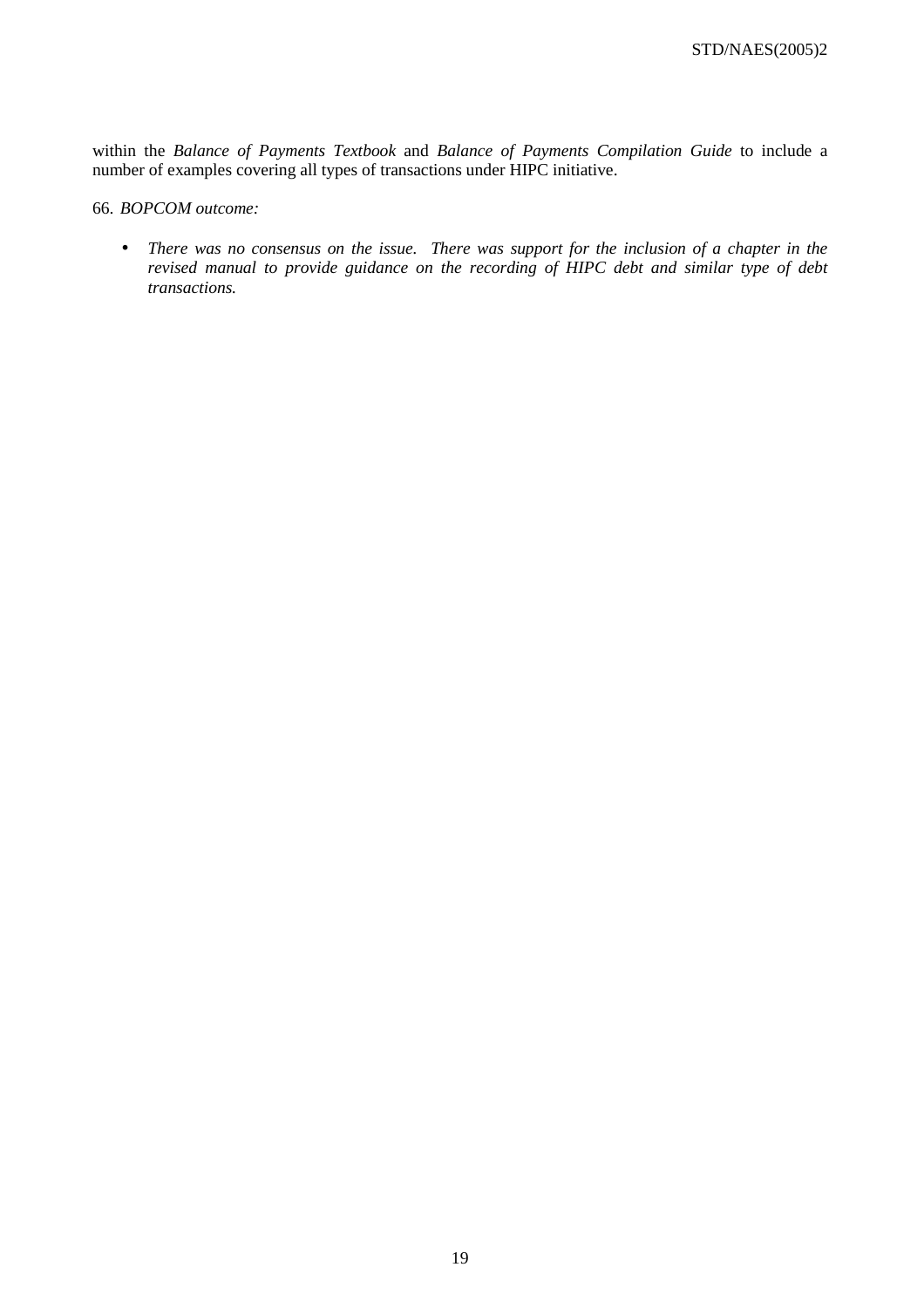within the *Balance of Payments Textbook* and *Balance of Payments Compilation Guide* to include a number of examples covering all types of transactions under HIPC initiative.

# 66. *BOPCOM outcome:*

• *There was no consensus on the issue. There was support for the inclusion of a chapter in the revised manual to provide guidance on the recording of HIPC debt and similar type of debt transactions.*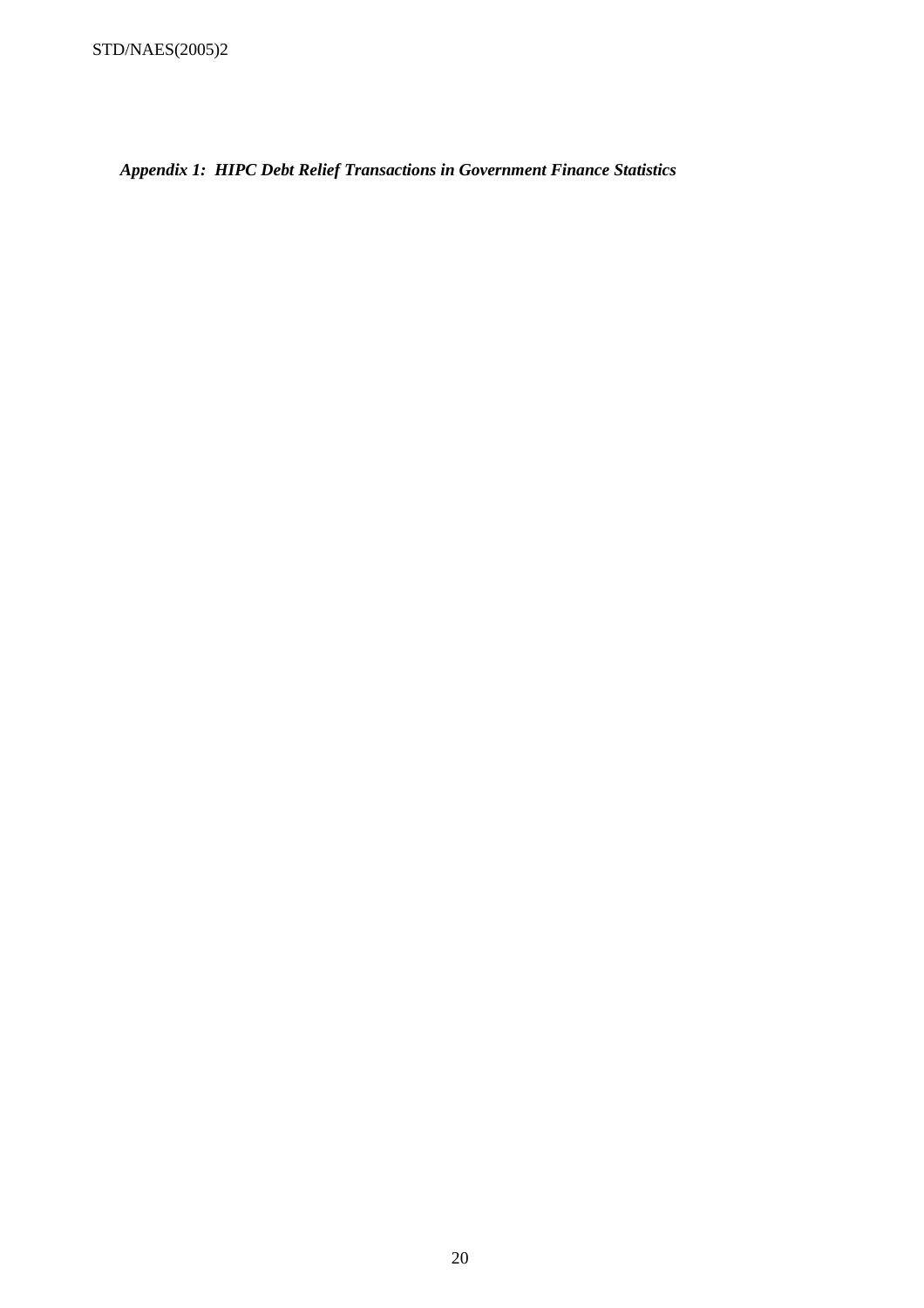*Appendix 1: HIPC Debt Relief Transactions in Government Finance Statistics*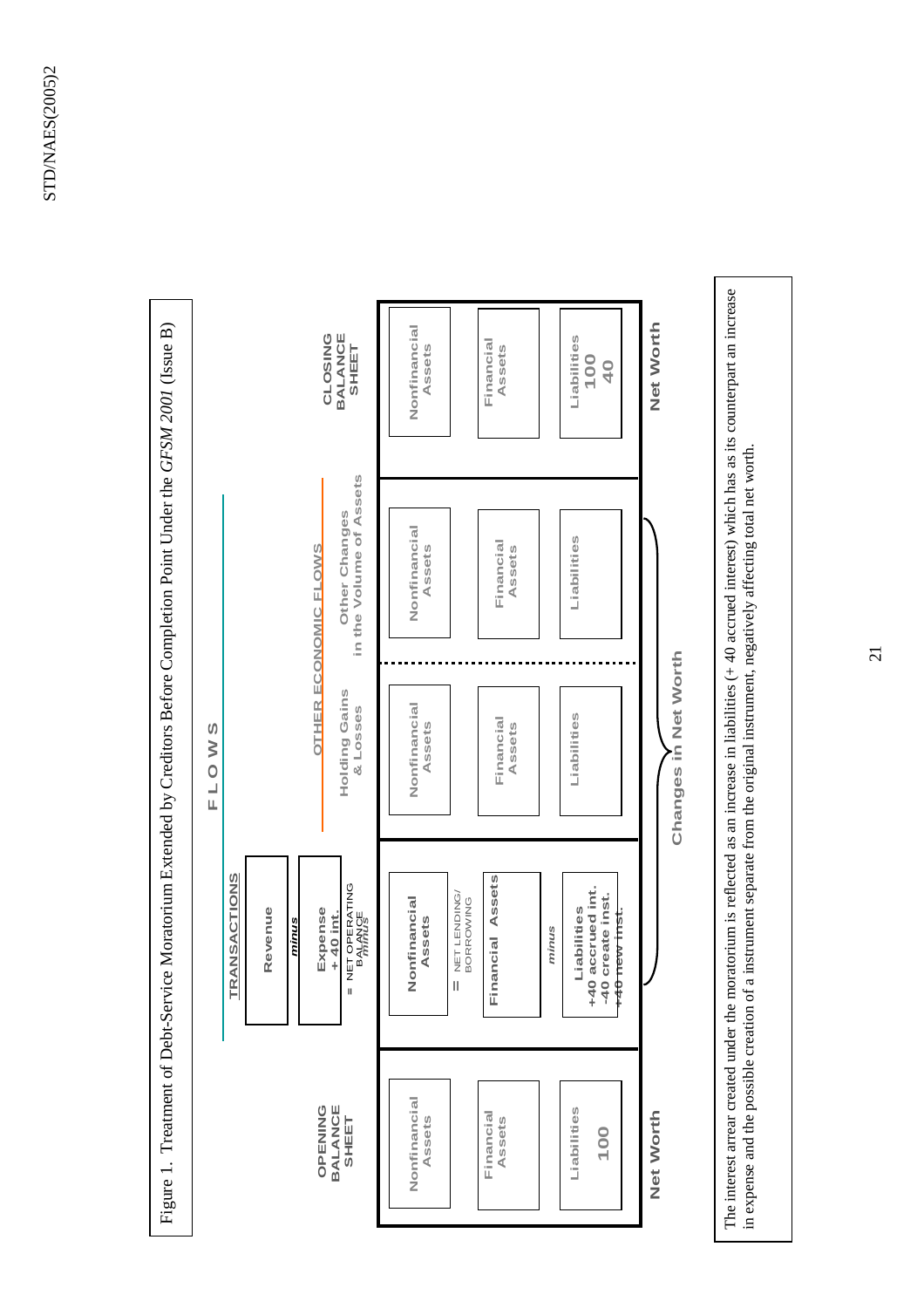

The interest arrear created under the moratorium is reflected as an increase in liabilities  $(+)$  40 accrued interest) which has as its counterpart an increase The interest arrear created under the moratorium is reflected as an increase in liabilities  $(+40$  accrued interest) which has as its counterpart an increase in expense and the possible creation of a instrument separate from the original instrument, negatively affecting total net worth. in expense and the possible creation of a instrument separate from the original instrument, negatively affecting total net worth.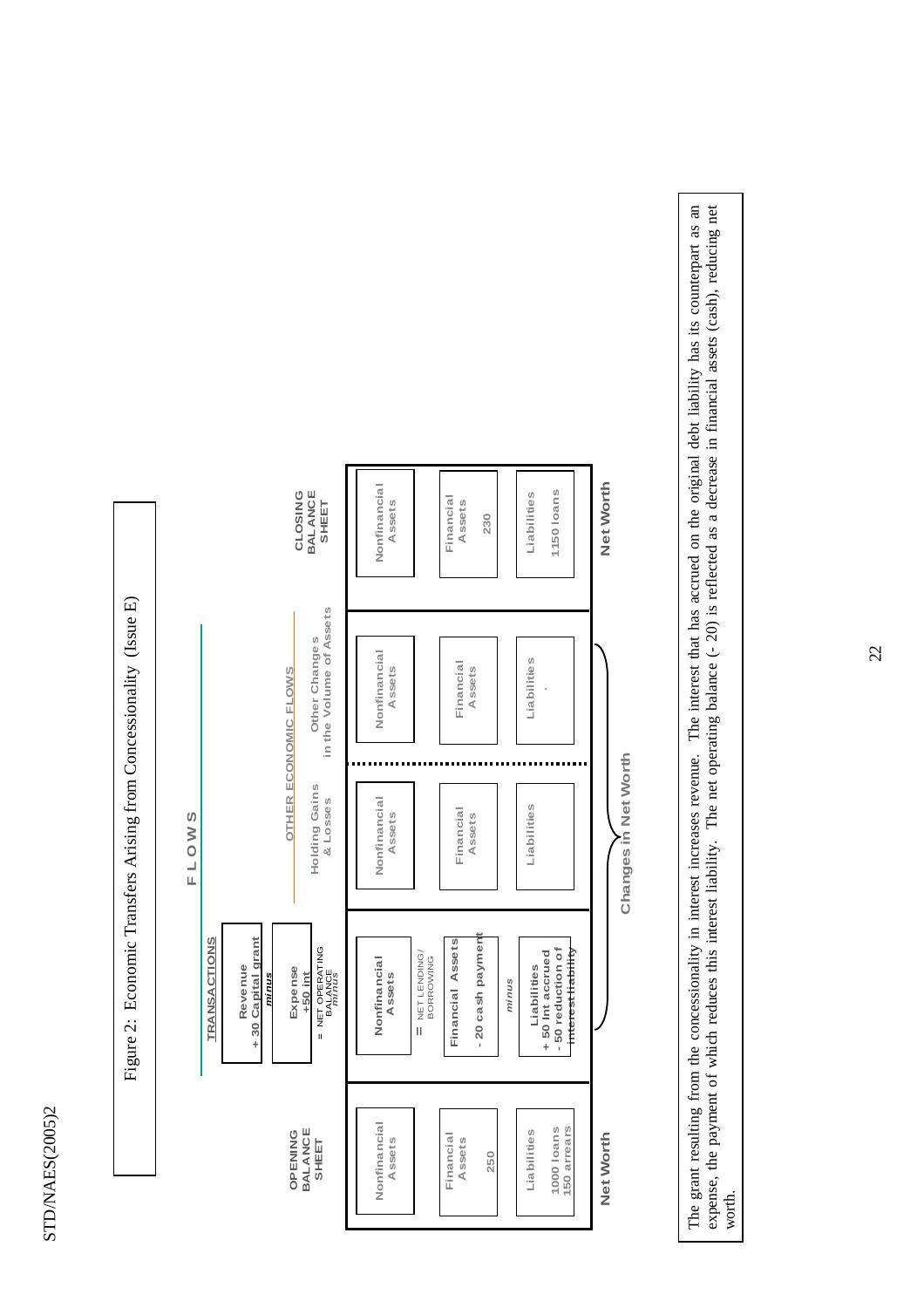

The grant resulting from the concessionality in interest increases revenue. The interest that has accrued on the original debt liability has its counterpart as an expense, the payment of which reduces this interest liabili The grant resulting from the concessionality in interest increases revenue. The interest that has accrued on the original debt liability has its counterpart as an expense, the payment of which reduces this interest liability. The net operating balance (- 20) is reflected as a decrease in financial assets (cash), reducing net worth.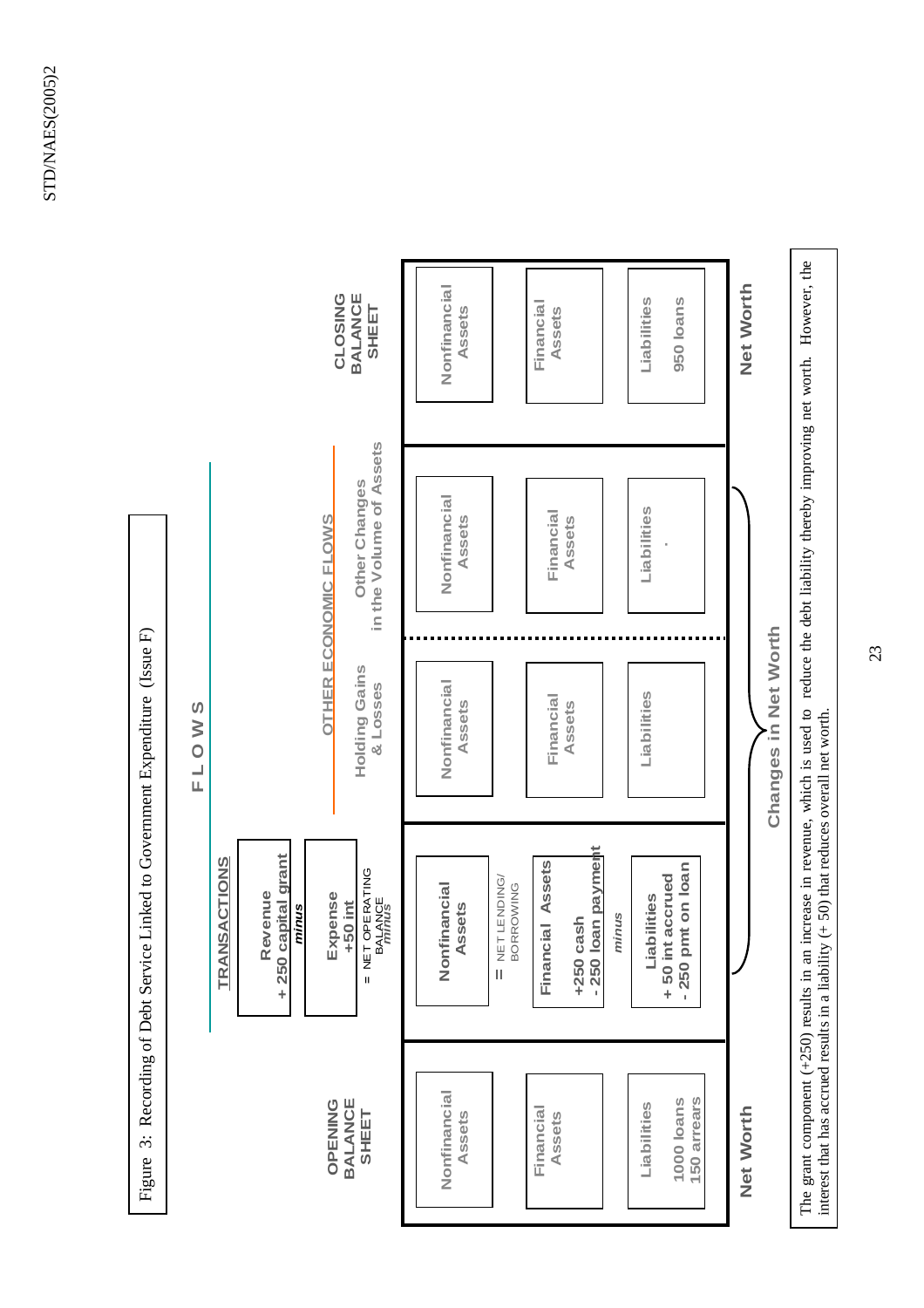